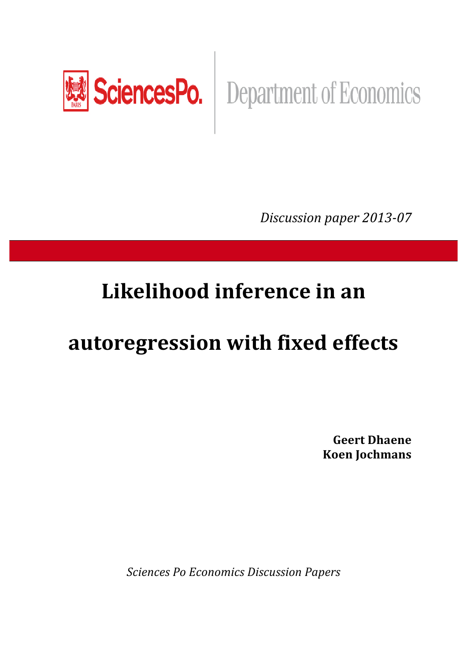

SciencesPo. | Department of Economics

*Discussion paper 2013-07* 

## Likelihood inference in an

# **autoregression)with fixed)effects**

**Geert)Dhaene Koen Jochmans** 

**Sciences Po Economics Discussion Papers**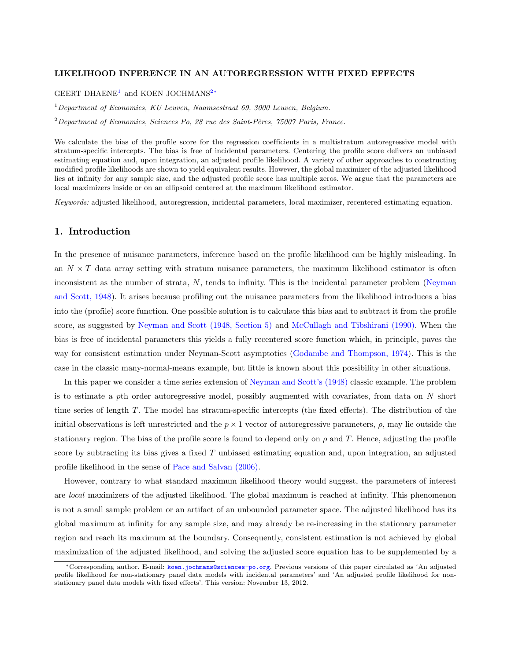### <span id="page-1-3"></span>LIKELIHOOD INFERENCE IN AN AUTOREGRESSION WITH FIXED EFFECTS

### GEERT DHAENE<sup>[1](#page-1-0)</sup> and KOEN JOCHMANS<sup>[2](#page-1-1)</sub><sup>\*</sup></sup>

<span id="page-1-0"></span><sup>1</sup>*Department of Economics, KU Leuven, Naamsestraat 69, 3000 Leuven, Belgium.*

<span id="page-1-1"></span><sup>2</sup> Department of Economics, Sciences Po, 28 rue des Saint-Pères, 75007 Paris, France.

We calculate the bias of the profile score for the regression coefficients in a multistratum autoregressive model with stratum-specific intercepts. The bias is free of incidental parameters. Centering the profile score delivers an unbiased estimating equation and, upon integration, an adjusted profile likelihood. A variety of other approaches to constructing modified profile likelihoods are shown to yield equivalent results. However, the global maximizer of the adjusted likelihood lies at infinity for any sample size, and the adjusted profile score has multiple zeros. We argue that the parameters are local maximizers inside or on an ellipsoid centered at the maximum likelihood estimator.

*Keywords:* adjusted likelihood, autoregression, incidental parameters, local maximizer, recentered estimating equation.

## 1. Introduction

In the presence of nuisance parameters, inference based on the profile likelihood can be highly misleading. In an  $N \times T$  data array setting with stratum nuisance parameters, the maximum likelihood estimator is often inconsistent as the number of strata, *N*, tends to infinity. This is the incidental parameter problem [\(Neyman](#page-27-0) [and Scott, 1948\)](#page-27-0). It arises because profiling out the nuisance parameters from the likelihood introduces a bias into the (profile) score function. One possible solution is to calculate this bias and to subtract it from the profile score, as suggested by [Neyman and Scott \(1948, Section 5\)](#page-27-0) and [McCullagh and Tibshirani \(1990\).](#page-27-1) When the bias is free of incidental parameters this yields a fully recentered score function which, in principle, paves the way for consistent estimation under Neyman-Scott asymptotics [\(Godambe and Thompson, 1974\)](#page-27-2). This is the case in the classic many-normal-means example, but little is known about this possibility in other situations.

In this paper we consider a time series extension of [Neyman and Scott's \(1948\)](#page-27-0) classic example. The problem is to estimate a *p*th order autoregressive model, possibly augmented with covariates, from data on *N* short time series of length *T*. The model has stratum-specific intercepts (the fixed effects). The distribution of the initial observations is left unrestricted and the  $p \times 1$  vector of autoregressive parameters,  $\rho$ , may lie outside the stationary region. The bias of the profile score is found to depend only on  $\rho$  and T. Hence, adjusting the profile score by subtracting its bias gives a fixed *T* unbiased estimating equation and, upon integration, an adjusted profile likelihood in the sense of [Pace and Salvan \(2006\).](#page-27-3)

However, contrary to what standard maximum likelihood theory would suggest, the parameters of interest are *local* maximizers of the adjusted likelihood. The global maximum is reached at infinity. This phenomenon is not a small sample problem or an artifact of an unbounded parameter space. The adjusted likelihood has its global maximum at infinity for any sample size, and may already be re-increasing in the stationary parameter region and reach its maximum at the boundary. Consequently, consistent estimation is not achieved by global maximization of the adjusted likelihood, and solving the adjusted score equation has to be supplemented by a

<span id="page-1-2"></span><sup>⇤</sup>Corresponding author. E-mail: [koen.jochmans@sciences-po.org](mailto:koen.jochmans@sciences-po.org). Previous versions of this paper circulated as 'An adjusted profile likelihood for non-stationary panel data models with incidental parameters' and 'An adjusted profile likelihood for nonstationary panel data models with fixed effects'. This version: November 13, 2012.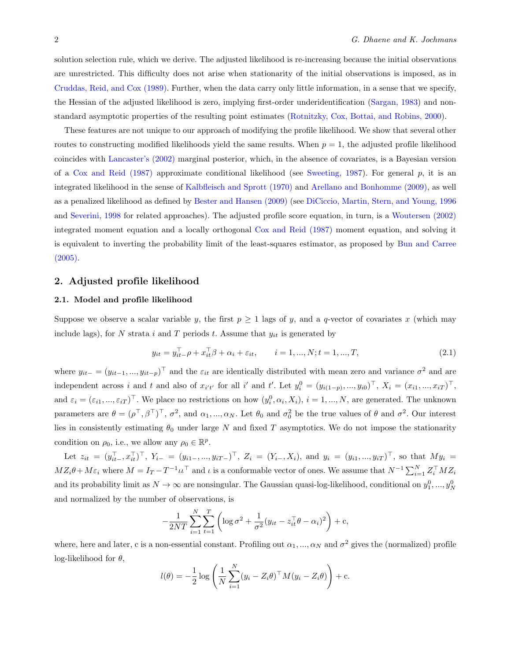solution selection rule, which we derive. The adjusted likelihood is re-increasing because the initial observations are unrestricted. This difficulty does not arise when stationarity of the initial observations is imposed, as in [Cruddas, Reid, and Cox \(1989\).](#page-27-4) Further, when the data carry only little information, in a sense that we specify, the Hessian of the adjusted likelihood is zero, implying first-order underidentification [\(Sargan, 1983\)](#page-27-5) and nonstandard asymptotic properties of the resulting point estimates [\(Rotnitzky, Cox, Bottai, and Robins, 2000\)](#page-27-6).

These features are not unique to our approach of modifying the profile likelihood. We show that several other routes to constructing modified likelihoods yield the same results. When  $p = 1$ , the adjusted profile likelihood coincides with [Lancaster's \(2002\)](#page-27-7) marginal posterior, which, in the absence of covariates, is a Bayesian version of a [Cox and Reid \(1987\)](#page-27-8) approximate conditional likelihood (see [Sweeting, 1987\)](#page-27-9). For general *p*, it is an integrated likelihood in the sense of [Kalbfleisch and Sprott \(1970\)](#page-27-10) and [Arellano and Bonhomme \(2009\),](#page-27-11) as well as a penalized likelihood as defined by [Bester and Hansen \(2009\)](#page-27-12) (see [DiCiccio, Martin, Stern, and Young, 1996](#page-27-13) and [Severini, 1998](#page-27-14) for related approaches). The adjusted profile score equation, in turn, is a [Woutersen \(2002\)](#page-27-15) integrated moment equation and a locally orthogonal [Cox and Reid \(1987\)](#page-27-8) moment equation, and solving it is equivalent to inverting the probability limit of the least-squares estimator, as proposed by [Bun and Carree](#page-27-16)  $(2005).$ 

#### 2. Adjusted profile likelihood

#### 2.1. Model and profile likelihood

Suppose we observe a scalar variable *y*, the first  $p \geq 1$  lags of *y*, and a *q*-vector of covariates *x* (which may include lags), for  $N$  strata  $i$  and  $T$  periods  $t$ . Assume that  $y_{it}$  is generated by

<span id="page-2-0"></span>
$$
y_{it} = y_{it-}^{\top} \rho + x_{it}^{\top} \beta + \alpha_i + \varepsilon_{it}, \qquad i = 1, ..., N; t = 1, ..., T,
$$
\n(2.1)

where  $y_{it-} = (y_{it-1}, ..., y_{it-p})^\top$  and the  $\varepsilon_{it}$  are identically distributed with mean zero and variance  $\sigma^2$  and are independent across i and t and also of  $x_{i't'}$  for all i' and t'. Let  $y_i^0 = (y_{i(1-p)},...,y_{i0})^\top$ ,  $X_i = (x_{i1},...,x_{iT})^\top$ , and  $\varepsilon_i = (\varepsilon_{i1}, ..., \varepsilon_{iT})^\top$ . We place no restrictions on how  $(y_i^0, \alpha_i, X_i)$ ,  $i = 1, ..., N$ , are generated. The unknown parameters are  $\theta = (\rho^{\top}, \beta^{\top})^{\top}$ ,  $\sigma^2$ , and  $\alpha_1, ..., \alpha_N$ . Let  $\theta_0$  and  $\sigma_0^2$  be the true values of  $\theta$  and  $\sigma^2$ . Our interest lies in consistently estimating  $\theta_0$  under large  $N$  and fixed  $T$  asymptotics. We do not impose the stationarity condition on  $\rho_0$ , i.e., we allow any  $\rho_0 \in \mathbb{R}^p$ .

Let  $z_{it} = (y_{it}^1, x_{it}^1)^T$ ,  $Y_{i-} = (y_{i1-}, ..., y_{iT-})^T$ ,  $Z_i = (Y_{i-}, X_i)$ , and  $y_i = (y_{i1}, ..., y_{iT})^T$ , so that  $My_i =$  $MZ_i\theta + M\varepsilon_i$  where  $M = I_T - T^{-1}\iota \iota^\top$  and  $\iota$  is a conformable vector of ones. We assume that  $N^{-1}\sum_{i=1}^N Z_i^\top M Z_i$ and its probability limit as  $N \to \infty$  are nonsingular. The Gaussian quasi-log-likelihood, conditional on  $y_1^0, ..., y_N^0$ and normalized by the number of observations, is

$$
-\frac{1}{2NT}\sum_{i=1}^N\sum_{t=1}^T\left(\log\sigma^2+\frac{1}{\sigma^2}(y_{it}-z_{it}^\top\theta-\alpha_i)^2\right)+c,
$$

where, here and later, c is a non-essential constant. Profiling out  $\alpha_1, ..., \alpha_N$  and  $\sigma^2$  gives the (normalized) profile log-likelihood for  $\theta$ ,

$$
l(\theta) = -\frac{1}{2}\log\left(\frac{1}{N}\sum_{i=1}^{N}(y_i - Z_i\theta)^{\top}M(y_i - Z_i\theta)\right) + c.
$$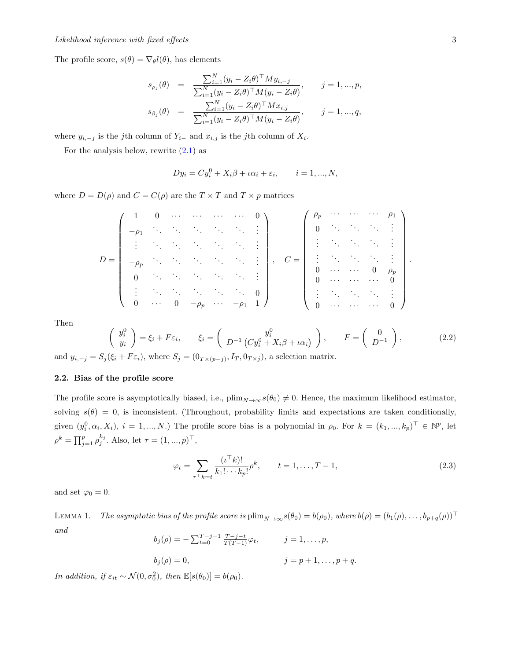The profile score,  $s(\theta) = \nabla_{\theta} l(\theta)$ , has elements

$$
s_{\rho_j}(\theta) = \frac{\sum_{i=1}^N (y_i - Z_i \theta)^\top M y_{i, -j}}{\sum_{i=1}^N (y_i - Z_i \theta)^\top M (y_i - Z_i \theta)}, \qquad j = 1, ..., p,
$$
  

$$
s_{\beta_j}(\theta) = \frac{\sum_{i=1}^N (y_i - Z_i \theta)^\top M x_{i, j}}{\sum_{i=1}^N (y_i - Z_i \theta)^\top M (y_i - Z_i \theta)}, \qquad j = 1, ..., q,
$$

where  $y_{i,-j}$  is the *j*th column of  $Y_{i-}$  and  $x_{i,j}$  is the *j*th column of  $X_i$ .

For the analysis below, rewrite  $(2.1)$  as

$$
Dy_i = Cy_i^0 + X_i\beta + \iota\alpha_i + \varepsilon_i, \qquad i = 1, ..., N,
$$

where  $D = D(\rho)$  and  $C = C(\rho)$  are the  $T \times T$  and  $T \times p$  matrices

$$
D = \begin{pmatrix} 1 & 0 & \cdots & \cdots & \cdots & 0 \\ -\rho_1 & \ddots & \ddots & \ddots & \ddots & \ddots & \vdots \\ \vdots & \ddots & \ddots & \ddots & \ddots & \ddots & \vdots \\ -\rho_p & \ddots & \ddots & \ddots & \ddots & \ddots & \vdots \\ 0 & \ddots & \ddots & \ddots & \ddots & \ddots & \vdots \\ \vdots & \ddots & \ddots & \ddots & \ddots & \ddots & \vdots \\ 0 & \cdots & \ddots & \ddots & \ddots & \ddots & 0 \\ \vdots & \ddots & \ddots & \ddots & \ddots & \ddots & 0 \\ 0 & \cdots & 0 & -\rho_p & \cdots & -\rho_1 & 1 \end{pmatrix}, C = \begin{pmatrix} \rho_p & \cdots & \cdots & \cdots & \rho_1 \\ 0 & \ddots & \ddots & \ddots & \vdots \\ \vdots & \ddots & \ddots & \ddots & \vdots \\ 0 & \cdots & \cdots & \ddots & \vdots \\ 0 & \cdots & \cdots & 0 & \rho_p \\ \vdots & \ddots & \ddots & \ddots & \vdots \\ 0 & \cdots & \cdots & \cdots & 0 \end{pmatrix}.
$$

<span id="page-3-1"></span>Then

✓ *y*<sup>0</sup> *i yi* ◆ = ⇠*<sup>i</sup>* + *F*"*i,* ⇠*<sup>i</sup>* = ✓ *y*<sup>0</sup> *i D*<sup>1</sup> *Cy*<sup>0</sup> *<sup>i</sup>* + *Xi* + ◆↵*<sup>i</sup>* ◆ *, F* = ✓ 0 *D*<sup>1</sup> ◆ *,* (2.2)

and  $y_{i,-j} = S_j(\xi_i + F\varepsilon_i)$ , where  $S_j = (0_{T \times (p-j)}, I_T, 0_{T \times j})$ , a selection matrix.

#### 2.2. Bias of the profile score

The profile score is asymptotically biased, i.e.,  $\text{plim}_{N\to\infty} s(\theta_0) \neq 0$ . Hence, the maximum likelihood estimator, solving  $s(\theta) = 0$ , is inconsistent. (Throughout, probability limits and expectations are taken conditionally, given  $(y_i^0, \alpha_i, X_i)$ ,  $i = 1, ..., N$ .) The profile score bias is a polynomial in  $\rho_0$ . For  $k = (k_1, ..., k_p)^\top \in \mathbb{N}^p$ , let  $\rho^k = \prod_{j=1}^p \rho_j^{k_j}$ . Also, let  $\tau = (1, ..., p)^\top$ ,

$$
\varphi_t = \sum_{\tau \vdash k = t} \frac{(\iota^{\top} k)!}{k_1! \cdots k_p!} \rho^k, \qquad t = 1, \dots, T - 1,
$$
\n(2.3)

<span id="page-3-0"></span>and set  $\varphi_0 = 0$ .

LEMMA 1. *The asymptotic bias of the profile score is*  $\text{plim}_{N\to\infty} s(\theta_0) = b(\rho_0)$ *, where*  $b(\rho) = (b_1(\rho), \ldots, b_{p+q}(\rho))^{\top}$ *and*

$$
b_j(\rho) = -\sum_{t=0}^{T-j-1} \frac{T-j-t}{T(T-1)} \varphi_t, \qquad j = 1, ..., p,
$$

$$
b_j(\rho) = 0,
$$
  $j = p + 1, ..., p + q.$ 

*In addition, if*  $\varepsilon_{it} \sim \mathcal{N}(0, \sigma_0^2)$ *, then*  $\mathbb{E}[s(\theta_0)] = b(\rho_0)$ *.*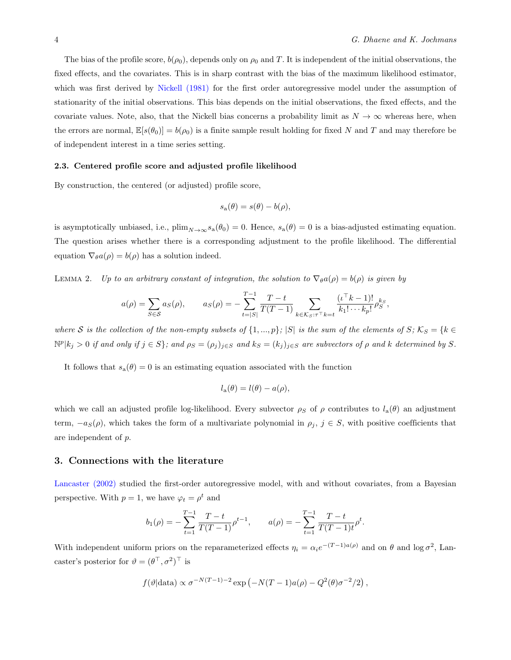The bias of the profile score,  $b(\rho_0)$ , depends only on  $\rho_0$  and T. It is independent of the initial observations, the fixed effects, and the covariates. This is in sharp contrast with the bias of the maximum likelihood estimator, which was first derived by [Nickell \(1981\)](#page-27-17) for the first order autoregressive model under the assumption of stationarity of the initial observations. This bias depends on the initial observations, the fixed effects, and the covariate values. Note, also, that the Nickell bias concerns a probability limit as  $N \to \infty$  whereas here, when the errors are normal,  $\mathbb{E}[s(\theta_0)] = b(\rho_0)$  is a finite sample result holding for fixed N and T and may therefore be of independent interest in a time series setting.

#### 2.3. Centered profile score and adjusted profile likelihood

By construction, the centered (or adjusted) profile score,

$$
s_{\mathbf{a}}(\theta) = s(\theta) - b(\rho),
$$

is asymptotically unbiased, i.e.,  $\text{plim}_{N\to\infty} s_{\text{a}}(\theta_0) = 0$ . Hence,  $s_{\text{a}}(\theta) = 0$  is a bias-adjusted estimating equation. The question arises whether there is a corresponding adjustment to the profile likelihood. The differential equation  $\nabla_{\theta}a(\rho) = b(\rho)$  has a solution indeed.

<span id="page-4-0"></span>LEMMA 2. *Up to an arbitrary constant of integration, the solution to*  $\nabla_{\theta}a(\rho) = b(\rho)$  *is given by* 

$$
a(\rho) = \sum_{S \in \mathcal{S}} a_S(\rho), \qquad a_S(\rho) = -\sum_{t=|S|}^{T-1} \frac{T-t}{T(T-1)} \sum_{k \in \mathcal{K}_{S} : \tau^{\top} k = t} \frac{(\iota^{\top} k - 1)!}{k_1! \cdots k_p!} \rho_S^{k_S},
$$

where S is the collection of the non-empty subsets of  $\{1,...,p\}$ ;  $|S|$  is the sum of the elements of S;  $K_S = \{k \in$  $\mathbb{N}^p |k_j > 0$  if and only if  $j \in S$ ; and  $\rho_S = (\rho_j)_{j \in S}$  and  $k_S = (k_j)_{j \in S}$  are subvectors of  $\rho$  and  $k$  determined by  $S$ .

It follows that  $s_a(\theta) = 0$  is an estimating equation associated with the function

$$
l_{\mathbf{a}}(\theta) = l(\theta) - a(\rho),
$$

which we call an adjusted profile log-likelihood. Every subvector  $\rho_S$  of  $\rho$  contributes to  $l_a(\theta)$  an adjustment term,  $-a<sub>S</sub>(\rho)$ , which takes the form of a multivariate polynomial in  $\rho_j$ ,  $j \in S$ , with positive coefficients that are independent of *p*.

#### 3. Connections with the literature

[Lancaster \(2002\)](#page-27-7) studied the first-order autoregressive model, with and without covariates, from a Bayesian perspective. With  $p = 1$ , we have  $\varphi_t = \rho^t$  and

$$
b_1(\rho) = -\sum_{t=1}^{T-1} \frac{T-t}{T(T-1)} \rho^{t-1}, \qquad a(\rho) = -\sum_{t=1}^{T-1} \frac{T-t}{T(T-1)t} \rho^t.
$$

With independent uniform priors on the reparameterized effects  $\eta_i = \alpha_i e^{-(T-1)a(\rho)}$  and on  $\theta$  and log  $\sigma^2$ , Lancaster's posterior for  $\theta = (\theta^{\top}, \sigma^2)^{\top}$  is

$$
f(\vartheta|\text{data}) \propto \sigma^{-N(T-1)-2} \exp(-N(T-1)a(\rho) - Q^2(\theta)\sigma^{-2}/2),
$$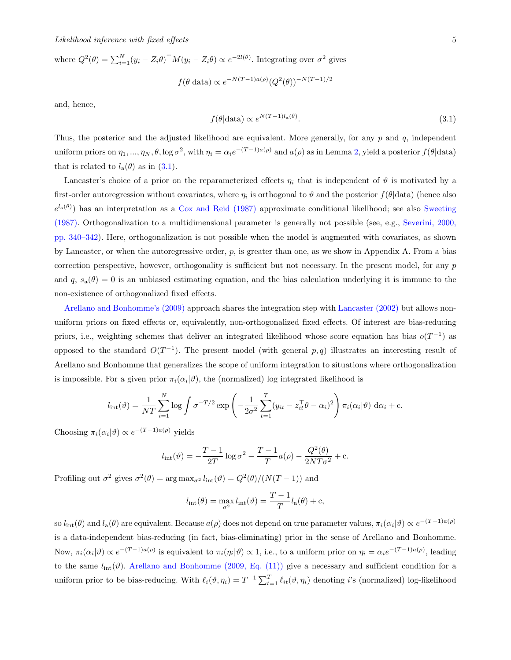where  $Q^2(\theta) = \sum_{i=1}^N (y_i - Z_i \theta)^{\top} M (y_i - Z_i \theta) \propto e^{-2l(\theta)}$ . Integrating over  $\sigma^2$  gives  $f(\theta | \text{data}) \propto e^{-N(T-1)a(\rho)} (Q^2(\theta))^{-N(T-1)/2}$ 

<span id="page-5-0"></span>and, hence,

$$
f(\theta|\text{data}) \propto e^{N(T-1)l_a(\theta)}.\tag{3.1}
$$

Thus, the posterior and the adjusted likelihood are equivalent. More generally, for any *p* and *q*, independent uniform priors on  $\eta_1, ..., \eta_N, \theta$ , log  $\sigma^2$ , with  $\eta_i = \alpha_i e^{-(T-1)a(\rho)}$  and  $a(\rho)$  as in Lemma [2,](#page-4-0) yield a posterior  $f(\theta|\text{data})$ that is related to  $l_a(\theta)$  as in [\(3.1\)](#page-5-0).

Lancaster's choice of a prior on the reparameterized effects  $\eta_i$  that is independent of  $\vartheta$  is motivated by a first-order autoregression without covariates, where  $\eta_i$  is orthogonal to  $\vartheta$  and the posterior  $f(\theta|\text{data})$  (hence also  $e^{l_a(\theta)}$  has an interpretation as a [Cox and Reid \(1987\)](#page-27-8) approximate conditional likelihood; see also [Sweeting](#page-27-9) [\(1987\).](#page-27-9) Orthogonalization to a multidimensional parameter is generally not possible (see, e.g., [Severini, 2000,](#page-27-18) [pp. 340–342\)](#page-27-18). Here, orthogonalization is not possible when the model is augmented with covariates, as shown by Lancaster, or when the autoregressive order, *p*, is greater than one, as we show in Appendix A. From a bias correction perspective, however, orthogonality is sufficient but not necessary. In the present model, for any *p* and  $q$ ,  $s_a(\theta) = 0$  is an unbiased estimating equation, and the bias calculation underlying it is immune to the non-existence of orthogonalized fixed effects.

[Arellano and Bonhomme's \(2009\)](#page-27-11) approach shares the integration step with [Lancaster \(2002\)](#page-27-7) but allows nonuniform priors on fixed effects or, equivalently, non-orthogonalized fixed effects. Of interest are bias-reducing priors, i.e., weighting schemes that deliver an integrated likelihood whose score equation has bias  $o(T^{-1})$  as opposed to the standard  $O(T^{-1})$ . The present model (with general  $p, q$ ) illustrates an interesting result of Arellano and Bonhomme that generalizes the scope of uniform integration to situations where orthogonalization is impossible. For a given prior  $\pi_i(\alpha_i|\vartheta)$ , the (normalized) log integrated likelihood is

$$
l_{\rm int}(\vartheta) = \frac{1}{NT} \sum_{i=1}^{N} \log \int \sigma^{-T/2} \exp \left(-\frac{1}{2\sigma^2} \sum_{t=1}^{T} (y_{it} - z_{it}^{\top} \theta - \alpha_i)^2\right) \pi_i(\alpha_i|\vartheta) d\alpha_i + \text{c.}
$$

Choosing  $\pi_i(\alpha_i|\vartheta) \propto e^{-(T-1)a(\rho)}$  yields

$$
l_{\rm int}(\theta) = -\frac{T-1}{2T} \log \sigma^2 - \frac{T-1}{T} a(\rho) - \frac{Q^2(\theta)}{2NT\sigma^2} + c.
$$

Profiling out  $\sigma^2$  gives  $\sigma^2(\theta) = \arg \max_{\sigma^2} l_{\rm int}(\theta) = Q^2(\theta)/(N(T-1))$  and

$$
l_{\rm int}(\theta) = \max_{\sigma^2} l_{\rm int}(\theta) = \frac{T-1}{T} l_{\rm a}(\theta) + c,
$$

so  $l_{\text{int}}(\theta)$  and  $l_a(\theta)$  are equivalent. Because  $a(\rho)$  does not depend on true parameter values,  $\pi_i(\alpha_i|\theta) \propto e^{-(T-1)a(\rho)}$ is a data-independent bias-reducing (in fact, bias-eliminating) prior in the sense of Arellano and Bonhomme. Now,  $\pi_i(\alpha_i|\theta) \propto e^{-(T-1)a(\rho)}$  is equivalent to  $\pi_i(\eta_i|\theta) \propto 1$ , i.e., to a uniform prior on  $\eta_i = \alpha_i e^{-(T-1)a(\rho)}$ , leading to the same  $l_{\text{int}}(\vartheta)$ . [Arellano and Bonhomme \(2009, Eq. \(11\)\)](#page-27-11) give a necessary and sufficient condition for a uniform prior to be bias-reducing. With  $\ell_i(\vartheta, \eta_i) = T^{-1} \sum_{t=1}^T \ell_{it}(\vartheta, \eta_i)$  denoting *i*'s (normalized) log-likelihood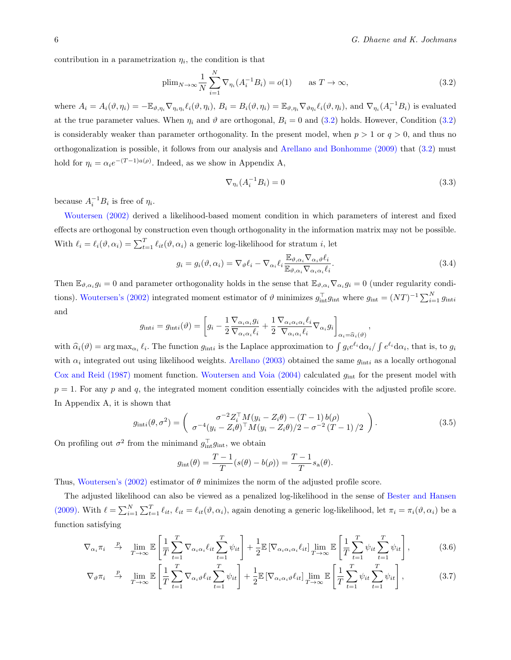contribution in a parametrization  $\eta_i$ , the condition is that

<span id="page-6-0"></span>
$$
\text{plim}_{N \to \infty} \frac{1}{N} \sum_{i=1}^{N} \nabla_{\eta_i} (A_i^{-1} B_i) = o(1) \quad \text{as } T \to \infty,
$$
\n(3.2)

where  $A_i = A_i(\vartheta, \eta_i) = -\mathbb{E}_{\vartheta, \eta_i} \nabla_{\eta_i, \eta_i} \ell_i(\vartheta, \eta_i), B_i = B_i(\vartheta, \eta_i) = \mathbb{E}_{\vartheta, \eta_i} \nabla_{\vartheta, \eta_i} \ell_i(\vartheta, \eta_i)$ , and  $\nabla_{\eta_i} (A_i^{-1}B_i)$  is evaluated at the true parameter values. When  $\eta_i$  and  $\vartheta$  are orthogonal,  $B_i = 0$  and [\(3.2\)](#page-6-0) holds. However, Condition (3.2) is considerably weaker than parameter orthogonality. In the present model, when *p >* 1 or *q >* 0, and thus no orthogonalization is possible, it follows from our analysis and [Arellano and Bonhomme \(2009\)](#page-27-11) that [\(3.2\)](#page-6-0) must hold for  $\eta_i = \alpha_i e^{-(T-1)a(\rho)}$ . Indeed, as we show in Appendix A,

<span id="page-6-2"></span>
$$
\nabla_{\eta_i}(A_i^{-1}B_i) = 0\tag{3.3}
$$

*,*

because  $A_i^{-1}B_i$  is free of  $\eta_i$ .

[Woutersen \(2002\)](#page-27-15) derived a likelihood-based moment condition in which parameters of interest and fixed effects are orthogonal by construction even though orthogonality in the information matrix may not be possible. With  $\ell_i = \ell_i(\vartheta, \alpha_i) = \sum_{t=1}^T \ell_{it}(\vartheta, \alpha_i)$  a generic log-likelihood for stratum *i*, let

$$
g_i = g_i(\vartheta, \alpha_i) = \nabla_{\vartheta} \ell_i - \nabla_{\alpha_i} \ell_i \frac{\mathbb{E}_{\vartheta, \alpha_i} \nabla_{\alpha_i \vartheta} \ell_i}{\mathbb{E}_{\vartheta, \alpha_i} \nabla_{\alpha_i \alpha_i} \ell_i}.
$$
\n(3.4)

Then  $\mathbb{E}_{\vartheta,\alpha_i} g_i = 0$  and parameter orthogonality holds in the sense that  $\mathbb{E}_{\vartheta,\alpha_i} \nabla_{\alpha_i} g_i = 0$  (under regularity condi-tions). [Woutersen's \(2002\)](#page-27-15) integrated moment estimator of  $\vartheta$  minimizes  $g_{\text{int}}^{\top} g_{\text{int}}$  where  $g_{\text{int}} = (NT)^{-1} \sum_{i=1}^{N} g_{\text{int}i}$ and

$$
g_{\text{int}i} = g_{\text{int}i}(\vartheta) = \left[ g_i - \frac{1}{2} \frac{\nabla_{\alpha_i \alpha_i} g_i}{\nabla_{\alpha_i \alpha_i} \ell_i} + \frac{1}{2} \frac{\nabla_{\alpha_i \alpha_i \alpha_i} \ell_i}{\nabla_{\alpha_i \alpha_i} \ell_i} \nabla_{\alpha_i} g_i \right]_{\alpha_i = \widehat{\alpha}_i(\vartheta)}
$$

with  $\hat{\alpha}_i(\vartheta) = \arg \max_{\alpha_i} \ell_i$ . The function  $g_{\text{int}}$  is the Laplace approximation to  $\int g_i e^{\ell_i} d\alpha_i / \int e^{\ell_i} d\alpha_i$ , that is, to  $g_i$ with  $\alpha_i$  integrated out using likelihood weights. [Arellano \(2003\)](#page-27-19) obtained the same  $g_{\text{int}}$  as a locally orthogonal [Cox and Reid \(1987\)](#page-27-8) moment function. [Woutersen and Voia \(2004\)](#page-27-20) calculated *g*int for the present model with  $p = 1$ . For any  $p$  and  $q$ , the integrated moment condition essentially coincides with the adjusted profile score. In Appendix A, it is shown that

<span id="page-6-3"></span>
$$
g_{\text{int}i}(\theta, \sigma^2) = \begin{pmatrix} \sigma^{-2} Z_i^{\top} M(y_i - Z_i \theta) - (T - 1) b(\rho) \\ \sigma^{-4} (y_i - Z_i \theta)^{\top} M(y_i - Z_i \theta) / 2 - \sigma^{-2} (T - 1) / 2 \end{pmatrix}.
$$
 (3.5)

On profiling out  $\sigma^2$  from the minimand  $g_{\text{int}}^{\top}g_{\text{int}}$ , we obtain

$$
g_{\text{int}}(\theta) = \frac{T-1}{T}(s(\theta) - b(\rho)) = \frac{T-1}{T} s_a(\theta).
$$

Thus, [Woutersen's \(2002\)](#page-27-15) estimator of  $\theta$  minimizes the norm of the adjusted profile score.

The adjusted likelihood can also be viewed as a penalized log-likelihood in the sense of [Bester and Hansen](#page-27-12) [\(2009\).](#page-27-12) With  $\ell = \sum_{i=1}^{N} \sum_{t=1}^{T} \ell_{it}, \ell_{it} = \ell_{it}(\vartheta, \alpha_i)$ , again denoting a generic log-likelihood, let  $\pi_i = \pi_i(\vartheta, \alpha_i)$  be a function satisfying

$$
\nabla_{\alpha_i} \pi_i \quad \stackrel{p}{\rightarrow} \quad \lim_{T \to \infty} \mathbb{E} \left[ \frac{1}{T} \sum_{t=1}^T \nabla_{\alpha_i \alpha_i} \ell_{it} \sum_{t=1}^T \psi_{it} \right] + \frac{1}{2} \mathbb{E} \left[ \nabla_{\alpha_i \alpha_i \alpha_i} \ell_{it} \right] \lim_{T \to \infty} \mathbb{E} \left[ \frac{1}{T} \sum_{t=1}^T \psi_{it} \sum_{t=1}^T \psi_{it} \right], \tag{3.6}
$$

<span id="page-6-1"></span>
$$
\nabla_{\vartheta} \pi_i \quad \xrightarrow{p} \quad \lim_{T \to \infty} \mathbb{E} \left[ \frac{1}{T} \sum_{t=1}^T \nabla_{\alpha_i \vartheta} \ell_{it} \sum_{t=1}^T \psi_{it} \right] + \frac{1}{2} \mathbb{E} \left[ \nabla_{\alpha_i \alpha_i \vartheta} \ell_{it} \right] \lim_{T \to \infty} \mathbb{E} \left[ \frac{1}{T} \sum_{t=1}^T \psi_{it} \sum_{t=1}^T \psi_{it} \right], \tag{3.7}
$$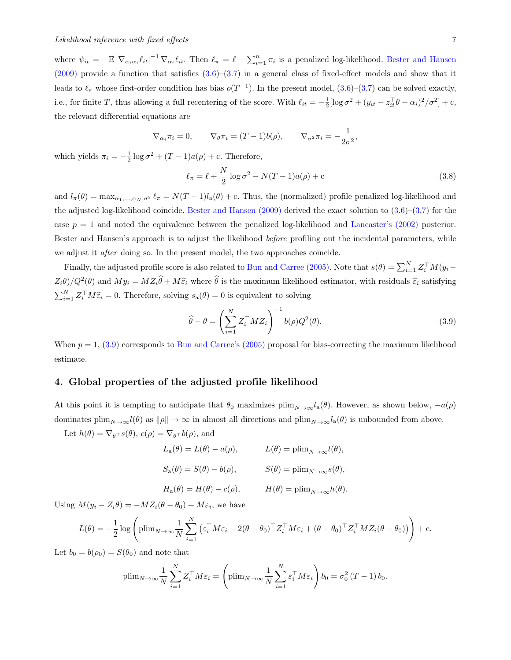where  $\psi_{it} = -\mathbb{E} [\nabla_{\alpha_i \alpha_i} \ell_{it}]^{-1} \nabla_{\alpha_i} \ell_{it}$ . Then  $\ell_{\pi} = \ell - \sum_{i=1}^n \pi_i$  is a penalized log-likelihood. [Bester and Hansen](#page-27-12)  $(2009)$  provide a function that satisfies  $(3.6)$ – $(3.7)$  in a general class of fixed-effect models and show that it leads to  $\ell_{\pi}$  whose first-order condition has bias  $o(T^{-1})$ . In the present model,  $(3.6)-(3.7)$  $(3.6)-(3.7)$  $(3.6)-(3.7)$  can be solved exactly, i.e., for finite *T*, thus allowing a full recentering of the score. With  $\ell_{it} = -\frac{1}{2} [\log \sigma^2 + (y_{it} - z_{it}^\top \theta - \alpha_i)^2 / \sigma^2] + c$ , the relevant differential equations are

$$
\nabla_{\alpha_i} \pi_i = 0, \qquad \nabla_{\theta} \pi_i = (T - 1)b(\rho), \qquad \nabla_{\sigma^2} \pi_i = -\frac{1}{2\sigma^2},
$$

which yields  $\pi_i = -\frac{1}{2} \log \sigma^2 + (T - 1)a(\rho) + c$ . Therefore,

$$
\ell_{\pi} = \ell + \frac{N}{2} \log \sigma^2 - N(T - 1)a(\rho) + c \tag{3.8}
$$

and  $l_{\pi}(\theta) = \max_{\alpha_1,\ldots,\alpha_N,\sigma^2} \ell_{\pi} = N(T-1)l_{\mathbf{a}}(\theta) + c$ . Thus, the (normalized) profile penalized log-likelihood and the adjusted log-likelihood coincide. Bester and Hansen  $(2009)$  derived the exact solution to  $(3.6)$ – $(3.7)$  for the case  $p = 1$  and noted the equivalence between the penalized log-likelihood and [Lancaster's \(2002\)](#page-27-7) posterior. Bester and Hansen's approach is to adjust the likelihood *before* profiling out the incidental parameters, while we adjust it *after* doing so. In the present model, the two approaches coincide.

Finally, the adjusted profile score is also related to [Bun and Carree \(2005\).](#page-27-16) Note that  $s(\theta) = \sum_{i=1}^{N} Z_i^{\top} M(y_i - \theta_i)$  $Z_i\theta$ */Q*<sup>2</sup>( $\theta$ ) and  $My_i = MZ_i\hat{\theta} + M\hat{\varepsilon}_i$  where  $\hat{\theta}$  is the maximum likelihood estimator, with residuals  $\hat{\varepsilon}_i$  satisfying  $\sum_{i=1}^{N} Z_i^{\top} M \widehat{\varepsilon}_i = 0$ . Therefore, solving  $s_a(\theta) = 0$  is equivalent to solving

<span id="page-7-0"></span>
$$
\widehat{\theta} - \theta = \left(\sum_{i=1}^{N} Z_i^{\top} M Z_i\right)^{-1} b(\rho) Q^2(\theta).
$$
\n(3.9)

When  $p = 1$ ,  $(3.9)$  corresponds to Bun and Carree's  $(2005)$  proposal for bias-correcting the maximum likelihood estimate.

#### 4. Global properties of the adjusted profile likelihood

At this point it is tempting to anticipate that  $\theta_0$  maximizes  $\text{plim}_{N\to\infty}l_a(\theta)$ . However, as shown below,  $-a(\rho)$ dominates  $\lim_{N\to\infty}l(\theta)$  as  $\|\rho\|\to\infty$  in almost all directions and  $\lim_{N\to\infty}l_a(\theta)$  is unbounded from above.

Let  $h(\theta) = \nabla_{\theta} \tau s(\theta), c(\rho) = \nabla_{\theta} \tau b(\rho)$ , and

$$
L_{\mathbf{a}}(\theta) = L(\theta) - a(\rho), \qquad L(\theta) = \text{plim}_{N \to \infty} l(\theta),
$$
  
\n
$$
S_{\mathbf{a}}(\theta) = S(\theta) - b(\rho), \qquad S(\theta) = \text{plim}_{N \to \infty} s(\theta),
$$
  
\n
$$
H_{\mathbf{a}}(\theta) = H(\theta) - c(\rho), \qquad H(\theta) = \text{plim}_{N \to \infty} h(\theta).
$$

Using  $M(y_i - Z_i \theta) = -MZ_i(\theta - \theta_0) + M\varepsilon_i$ , we have

$$
L(\theta) = -\frac{1}{2}\log\left(\text{plim}_{N\to\infty}\frac{1}{N}\sum_{i=1}^N\left(\varepsilon_i^\top M\varepsilon_i - 2(\theta - \theta_0)^\top Z_i^\top M\varepsilon_i + (\theta - \theta_0)^\top Z_i^\top M Z_i(\theta - \theta_0)\right)\right) + \text{c.}
$$

Let  $b_0 = b(\rho_0) = S(\theta_0)$  and note that

$$
\text{plim}_{N \to \infty} \frac{1}{N} \sum_{i=1}^{N} Z_i^{\top} M \varepsilon_i = \left( \text{plim}_{N \to \infty} \frac{1}{N} \sum_{i=1}^{N} \varepsilon_i^{\top} M \varepsilon_i \right) b_0 = \sigma_0^2 (T - 1) b_0.
$$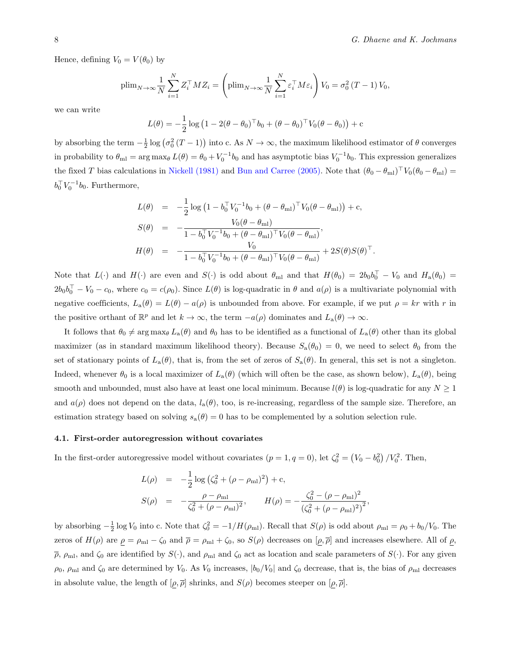Hence, defining  $V_0 = V(\theta_0)$  by

$$
\text{plim}_{N \to \infty} \frac{1}{N} \sum_{i=1}^{N} Z_i^{\top} M Z_i = \left( \text{plim}_{N \to \infty} \frac{1}{N} \sum_{i=1}^{N} \varepsilon_i^{\top} M \varepsilon_i \right) V_0 = \sigma_0^2 (T - 1) V_0,
$$

we can write

$$
L(\theta) = -\frac{1}{2} \log (1 - 2(\theta - \theta_0)^{\top} b_0 + (\theta - \theta_0)^{\top} V_0 (\theta - \theta_0)) + c
$$

by absorbing the term  $-\frac{1}{2} \log (\sigma_0^2 (T-1))$  into c. As  $N \to \infty$ , the maximum likelihood estimator of  $\theta$  converges in probability to  $\theta_{\rm ml} = \arg \max_{\theta} L(\theta) = \theta_0 + V_0^{-1} b_0$  and has asymptotic bias  $V_0^{-1} b_0$ . This expression generalizes the fixed *T* bias calculations in [Nickell \(1981\)](#page-27-17) and [Bun and Carree \(2005\).](#page-27-16) Note that  $(\theta_0 - \theta_{\rm ml})^{\top}V_0(\theta_0 - \theta_{\rm ml})$  =  $b_0^{\top} V_0^{-1} b_0$ . Furthermore,

$$
L(\theta) = -\frac{1}{2} \log \left( 1 - b_0^{\top} V_0^{-1} b_0 + (\theta - \theta_{\text{ml}})^{\top} V_0 (\theta - \theta_{\text{ml}}) \right) + c,
$$
  
\n
$$
S(\theta) = -\frac{V_0 (\theta - \theta_{\text{ml}})}{1 - b_0^{\top} V_0^{-1} b_0 + (\theta - \theta_{\text{ml}})^{\top} V_0 (\theta - \theta_{\text{ml}})},
$$
  
\n
$$
H(\theta) = -\frac{V_0}{1 - b_0^{\top} V_0^{-1} b_0 + (\theta - \theta_{\text{ml}})^{\top} V_0 (\theta - \theta_{\text{ml}})} + 2S(\theta) S(\theta)^{\top}.
$$

Note that  $L(\cdot)$  and  $H(\cdot)$  are even and  $S(\cdot)$  is odd about  $\theta_{\rm ml}$  and that  $H(\theta_0)=2b_0b_0^{\dagger}-V_0$  and  $H_{\rm a}(\theta_0)=0$  $2b_0b_0^{\dagger} - V_0 - c_0$ , where  $c_0 = c(\rho_0)$ . Since  $L(\theta)$  is log-quadratic in  $\theta$  and  $a(\rho)$  is a multivariate polynomial with negative coefficients,  $L_a(\theta) = L(\theta) - a(\rho)$  is unbounded from above. For example, if we put  $\rho = kr$  with r in the positive orthant of  $\mathbb{R}^p$  and let  $k \to \infty$ , the term  $-a(\rho)$  dominates and  $L_a(\theta) \to \infty$ .

It follows that  $\theta_0 \neq \arg \max_{\theta} L_a(\theta)$  and  $\theta_0$  has to be identified as a functional of  $L_a(\theta)$  other than its global maximizer (as in standard maximum likelihood theory). Because  $S_a(\theta_0) = 0$ , we need to select  $\theta_0$  from the set of stationary points of  $L_a(\theta)$ , that is, from the set of zeros of  $S_a(\theta)$ . In general, this set is not a singleton. Indeed, whenever  $\theta_0$  is a local maximizer of  $L_a(\theta)$  (which will often be the case, as shown below),  $L_a(\theta)$ , being smooth and unbounded, must also have at least one local minimum. Because  $l(\theta)$  is log-quadratic for any  $N \geq 1$ and  $a(\rho)$  does not depend on the data,  $l_a(\theta)$ , too, is re-increasing, regardless of the sample size. Therefore, an estimation strategy based on solving  $s_a(\theta) = 0$  has to be complemented by a solution selection rule.

#### 4.1. First-order autoregression without covariates

In the first-order autoregressive model without covariates  $(p = 1, q = 0)$ , let  $\zeta_0^2 = (V_0 - b_0^2) / V_0^2$ . Then,

$$
L(\rho) = -\frac{1}{2}\log\left(\zeta_0^2 + (\rho - \rho_{\rm ml})^2\right) + c,
$$
  
\n
$$
S(\rho) = -\frac{\rho - \rho_{\rm ml}}{\zeta_0^2 + (\rho - \rho_{\rm ml})^2}, \qquad H(\rho) = -\frac{\zeta_0^2 - (\rho - \rho_{\rm ml})^2}{\left(\zeta_0^2 + (\rho - \rho_{\rm ml})^2\right)^2},
$$

by absorbing  $-\frac{1}{2} \log V_0$  into c. Note that  $\zeta_0^2 = -1/H(\rho_{\rm ml})$ . Recall that  $S(\rho)$  is odd about  $\rho_{\rm ml} = \rho_0 + b_0/V_0$ . The zeros of  $H(\rho)$  are  $\rho = \rho_{\rm ml} - \zeta_0$  and  $\overline{\rho} = \rho_{\rm ml} + \zeta_0$ , so  $S(\rho)$  decreases on  $[\rho, \overline{\rho}]$  and increases elsewhere. All of  $\rho$ ,  $\bar{\rho}$ ,  $\rho_{\rm ml}$ , and  $\zeta_0$  are identified by  $S(\cdot)$ , and  $\rho_{\rm ml}$  and  $\zeta_0$  act as location and scale parameters of  $S(\cdot)$ . For any given  $\rho_0$ ,  $\rho_{\rm ml}$  and  $\zeta_0$  are determined by  $V_0$ . As  $V_0$  increases,  $|b_0/V_0|$  and  $\zeta_0$  decrease, that is, the bias of  $\rho_{\rm ml}$  decreases in absolute value, the length of  $[\rho, \overline{\rho}]$  shrinks, and  $S(\rho)$  becomes steeper on  $[\rho, \overline{\rho}]$ .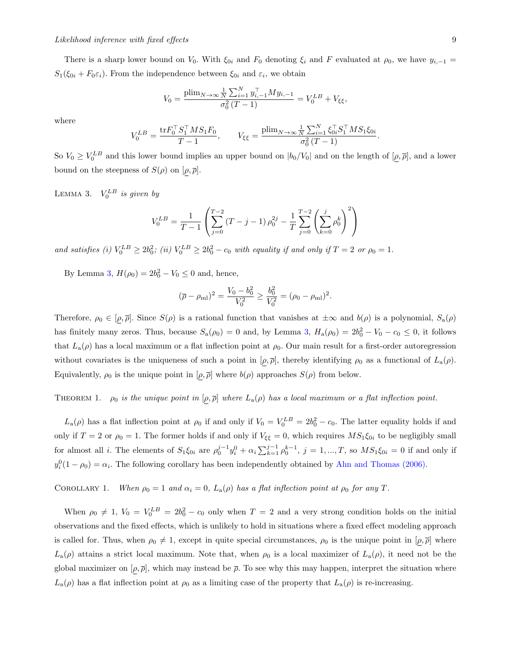There is a sharp lower bound on  $V_0$ . With  $\xi_{0i}$  and  $F_0$  denoting  $\xi_i$  and  $F$  evaluated at  $\rho_0$ , we have  $y_{i,-1}$  $S_1(\xi_{0i} + F_0 \varepsilon_i)$ . From the independence between  $\xi_{0i}$  and  $\varepsilon_i$ , we obtain

$$
V_0 = \frac{\text{plim}_{N \to \infty} \frac{1}{N} \sum_{i=1}^{N} y_{i,-1}^{\top} M y_{i,-1}}{\sigma_0^2 (T - 1)} = V_0^{LB} + V_{\xi\xi},
$$

where

$$
V_0^{LB} = \frac{\text{tr} F_0^\top S_1^\top M S_1 F_0}{T - 1}, \qquad V_{\xi\xi} = \frac{\text{plim}_{N \to \infty} \frac{1}{N} \sum_{i=1}^N \xi_{0i}^\top S_1^\top M S_1 \xi_{0i}}{\sigma_0^2 (T - 1)}.
$$

So  $V_0 \geq V_0^{LB}$  and this lower bound implies an upper bound on  $|b_0/V_0|$  and on the length of  $[\rho, \bar{\rho}]$ , and a lower bound on the steepness of  $S(\rho)$  on  $[\rho, \overline{\rho}]$ .

<span id="page-9-0"></span>LEMMA 3.  $V_0^{LB}$  *is given by* 

$$
V_0^{LB} = \frac{1}{T-1} \left( \sum_{j=0}^{T-2} (T-j-1) \rho_0^{2j} - \frac{1}{T} \sum_{j=0}^{T-2} \left( \sum_{k=0}^j \rho_0^k \right)^2 \right)
$$

*and satisfies (i)*  $V_0^{LB} \ge 2b_0^2$ ; *(ii)*  $V_0^{LB} \ge 2b_0^2 - c_0$  *with equality if and only if*  $T = 2$  *or*  $\rho_0 = 1$ *.* 

By Lemma [3,](#page-9-0)  $H(\rho_0) = 2b_0^2 - V_0 \le 0$  and, hence,

$$
(\overline{\rho} - \rho_{\rm ml})^2 = \frac{V_0 - b_0^2}{V_0^2} \ge \frac{b_0^2}{V_0^2} = (\rho_0 - \rho_{\rm ml})^2.
$$

Therefore,  $\rho_0 \in [\rho, \overline{\rho}]$ . Since  $S(\rho)$  is a rational function that vanishes at  $\pm \infty$  and  $b(\rho)$  is a polynomial,  $S_a(\rho)$ has finitely many zeros. Thus, because  $S_a(\rho_0) = 0$  and, by Lemma [3,](#page-9-0)  $H_a(\rho_0) = 2b_0^2 - V_0 - c_0 \le 0$ , it follows that  $L_a(\rho)$  has a local maximum or a flat inflection point at  $\rho_0$ . Our main result for a first-order autoregression without covariates is the uniqueness of such a point in  $[\rho, \overline{\rho}]$ , thereby identifying  $\rho_0$  as a functional of  $L_a(\rho)$ . Equivalently,  $\rho_0$  is the unique point in  $[\rho, \overline{\rho}]$  where  $b(\rho)$  approaches  $S(\rho)$  from below.

<span id="page-9-1"></span>THEOREM 1.  $\rho_0$  *is the unique point in*  $[\rho, \overline{\rho}]$  *where*  $L_a(\rho)$  *has a local maximum or a flat inflection point.* 

 $L_a(\rho)$  has a flat inflection point at  $\rho_0$  if and only if  $V_0 = V_0^{LB} = 2b_0^2 - c_0$ . The latter equality holds if and only if  $T = 2$  or  $\rho_0 = 1$ . The former holds if and only if  $V_{\xi\xi} = 0$ , which requires  $MS_1\xi_{0i}$  to be negligibly small for almost all *i*. The elements of  $S_1 \xi_{0i}$  are  $\rho_0^{j-1} y_i^0 + \alpha_i \sum_{k=1}^{j-1} \rho_0^{k-1}$ ,  $j = 1, ..., T$ , so  $MS_1 \xi_{0i} = 0$  if and only if  $y_i^0(1 - \rho_0) = \alpha_i$ . The following corollary has been independently obtained by [Ahn and Thomas \(2006\).](#page-27-21)

COROLLARY 1. *When*  $\rho_0 = 1$  *and*  $\alpha_i = 0$ ,  $L_a(\rho)$  *has a flat inflection point at*  $\rho_0$  *for any T.* 

When  $\rho_0 \neq 1$ ,  $V_0 = V_0^{LB} = 2b_0^2 - c_0$  only when  $T = 2$  and a very strong condition holds on the initial observations and the fixed effects, which is unlikely to hold in situations where a fixed effect modeling approach is called for. Thus, when  $\rho_0 \neq 1$ , except in quite special circumstances,  $\rho_0$  is the unique point in  $[\rho, \overline{\rho}]$  where  $L_{\rm a}(\rho)$  attains a strict local maximum. Note that, when  $\rho_0$  is a local maximizer of  $L_{\rm a}(\rho)$ , it need not be the global maximizer on  $[\rho, \bar{\rho}]$ , which may instead be  $\bar{\rho}$ . To see why this may happen, interpret the situation where  $L_a(\rho)$  has a flat inflection point at  $\rho_0$  as a limiting case of the property that  $L_a(\rho)$  is re-increasing.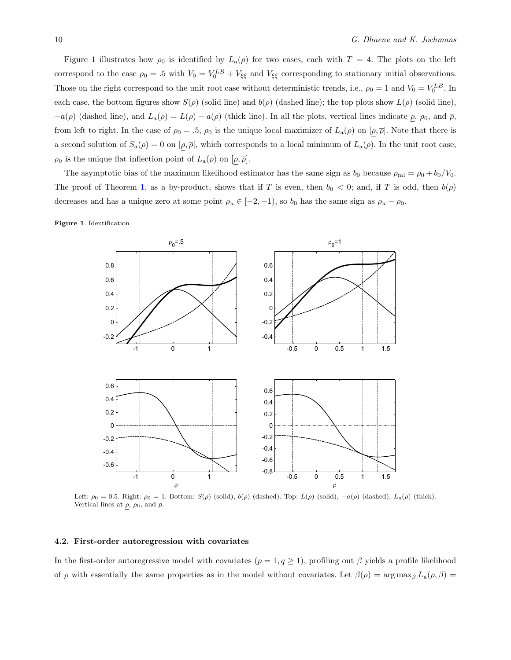Figure 1 illustrates how  $\rho_0$  is identified by  $L_a(\rho)$  for two cases, each with  $T = 4$ . The plots on the left correspond to the case  $\rho_0 = .5$  with  $V_0 = V_0^{LB} + V_{\xi\xi}$  and  $V_{\xi\xi}$  corresponding to stationary initial observations. Those on the right correspond to the unit root case without deterministic trends, i.e.,  $\rho_0 = 1$  and  $V_0 = V_0^{LB}$ . In each case, the bottom figures show  $S(\rho)$  (solid line) and  $b(\rho)$  (dashed line); the top plots show  $L(\rho)$  (solid line),  $-a(\rho)$  (dashed line), and  $L_a(\rho) = L(\rho) - a(\rho)$  (thick line). In all the plots, vertical lines indicate  $\rho$ ,  $\rho_0$ , and  $\overline{\rho}$ , from left to right. In the case of  $\rho_0 = .5$ ,  $\rho_0$  is the unique local maximizer of  $L_a(\rho)$  on  $[\rho, \overline{\rho}]$ . Note that there is a second solution of  $S_a(\rho) = 0$  on  $[\rho, \overline{\rho}]$ , which corresponds to a local minimum of  $L_a(\rho)$ . In the unit root case,  $\rho_0$  is the unique flat inflection point of  $L_\mathrm{a}(\rho)$  on  $[\rho, \overline{\rho}]$ .

The asymptotic bias of the maximum likelihood estimator has the same sign as  $b_0$  because  $\rho_{ml} = \rho_0 + b_0/V_0$ . The proof of Theorem [1,](#page-9-1) as a by-product, shows that if *T* is even, then  $b_0 < 0$ ; and, if *T* is odd, then  $b(\rho)$ decreases and has a unique zero at some point  $\rho_u \in [-2, -1)$ , so  $b_0$  has the same sign as  $\rho_u - \rho_0$ .

Figure 1. Identification



Left:  $\rho_0 = 0.5$ . Right:  $\rho_0 = 1$ . Bottom:  $S(\rho)$  (solid),  $b(\rho)$  (dashed). Top:  $L(\rho)$  (solid),  $-a(\rho)$  (dashed),  $L_a(\rho)$  (thick). Vertical lines at  $\rho$ ,  $\rho_0$ , and  $\bar{\rho}$ .

#### 4.2. First-order autoregression with covariates

In the first-order autoregressive model with covariates  $(p = 1, q \ge 1)$ , profiling out  $\beta$  yields a profile likelihood of  $\rho$  with essentially the same properties as in the model without covariates. Let  $\beta(\rho) = \arg \max_{\beta} L_{\mathbf{a}}(\rho, \beta)$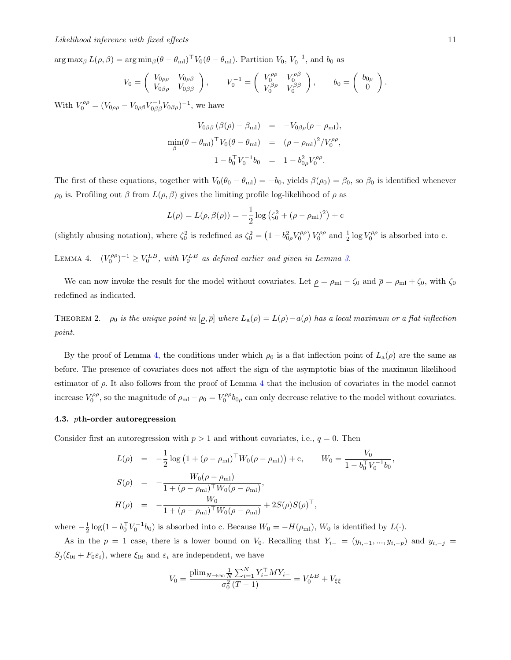$\arg \max_{\beta} L(\rho, \beta) = \arg \min_{\beta} (\theta - \theta_{\text{ml}})^{\top} V_0(\theta - \theta_{\text{ml}}).$  Partition  $V_0, V_0^{-1}$ , and  $b_0$  as

$$
V_0 = \begin{pmatrix} V_{0\rho\rho} & V_{0\rho\beta} \\ V_{0\beta\rho} & V_{0\beta\beta} \end{pmatrix}, \qquad V_0^{-1} = \begin{pmatrix} V_0^{\rho\rho} & V_0^{\rho\beta} \\ V_0^{\beta\rho} & V_0^{\beta\beta} \end{pmatrix}, \qquad b_0 = \begin{pmatrix} b_{0\rho} \\ 0 \end{pmatrix}.
$$

With  $V_0^{\rho \rho} = (V_{0\rho\rho} - V_{0\rho\beta} V_{0\beta\beta}^{-1} V_{0\beta\rho})^{-1}$ , we have

$$
V_{0\beta\beta} (\beta(\rho) - \beta_{\rm ml}) = -V_{0\beta\rho} (\rho - \rho_{\rm ml}),
$$
  
\n
$$
\min_{\beta} (\theta - \theta_{\rm ml})^{\top} V_0 (\theta - \theta_{\rm ml}) = (\rho - \rho_{\rm ml})^2 / V_0^{\rho\rho},
$$
  
\n
$$
1 - b_0^{\top} V_0^{-1} b_0 = 1 - b_{0\rho}^2 V_0^{\rho\rho}.
$$

The first of these equations, together with  $V_0(\theta_0 - \theta_{ml}) = -b_0$ , yields  $\beta(\rho_0) = \beta_0$ , so  $\beta_0$  is identified whenever  $\rho_0$  is. Profiling out  $\beta$  from  $L(\rho, \beta)$  gives the limiting profile log-likelihood of  $\rho$  as

$$
L(\rho) = L(\rho, \beta(\rho)) = -\frac{1}{2}\log (\zeta_0^2 + (\rho - \rho_{\rm ml})^2) + c
$$

<span id="page-11-0"></span>(slightly abusing notation), where  $\zeta_0^2$  is redefined as  $\zeta_0^2 = \left(1 - b_{0\rho}^2 V_0^{\rho\rho}\right) V_0^{\rho\rho}$  and  $\frac{1}{2} \log V_0^{\rho\rho}$  is absorbed into c.

LEMMA 4.  $(V_0^{\rho\rho})^{-1} \ge V_0^{LB}$ , with  $V_0^{LB}$  as defined earlier and given in Lemma [3.](#page-9-0)

We can now invoke the result for the model without covariates. Let  $\rho = \rho_{ml} - \zeta_0$  and  $\overline{\rho} = \rho_{ml} + \zeta_0$ , with  $\zeta_0$ redefined as indicated.

THEOREM 2.  $\rho_0$  *is the unique point in*  $[\rho, \overline{\rho}]$  *where*  $L_a(\rho) = L(\rho) - a(\rho)$  *has a local maximum or a flat inflection point.*

By the proof of Lemma [4,](#page-11-0) the conditions under which  $\rho_0$  is a flat inflection point of  $L_a(\rho)$  are the same as before. The presence of covariates does not affect the sign of the asymptotic bias of the maximum likelihood estimator of  $\rho$ . It also follows from the proof of Lemma [4](#page-11-0) that the inclusion of covariates in the model cannot increase  $V_0^{\rho\rho}$ , so the magnitude of  $\rho_{ml} - \rho_0 = V_0^{\rho\rho} b_{0\rho}$  can only decrease relative to the model without covariates.

### 4.3. *p*th-order autoregression

Consider first an autoregression with  $p > 1$  and without covariates, i.e.,  $q = 0$ . Then

$$
L(\rho) = -\frac{1}{2}\log\left(1 + (\rho - \rho_{\rm ml})^{\top}W_0(\rho - \rho_{\rm ml})\right) + c, \qquad W_0 = \frac{V_0}{1 - b_0^{\top}V_0^{-1}b_0},
$$
  
\n
$$
S(\rho) = -\frac{W_0(\rho - \rho_{\rm ml})}{1 + (\rho - \rho_{\rm ml})^{\top}W_0(\rho - \rho_{\rm ml})},
$$
  
\n
$$
H(\rho) = -\frac{W_0}{1 + (\rho - \rho_{\rm ml})^{\top}W_0(\rho - \rho_{\rm ml})} + 2S(\rho)S(\rho)^{\top},
$$

where  $-\frac{1}{2} \log(1 - b_0^{\top} V_0^{-1} b_0)$  is absorbed into c. Because  $W_0 = -H(\rho_{\text{ml}})$ ,  $W_0$  is identified by  $L(\cdot)$ .

As in the  $p = 1$  case, there is a lower bound on  $V_0$ . Recalling that  $Y_{i-} = (y_{i,-1},...,y_{i,-p})$  and  $y_{i,-j} =$  $S_j(\xi_{0i} + F_0 \varepsilon_i)$ , where  $\xi_{0i}$  and  $\varepsilon_i$  are independent, we have

$$
V_0 = \frac{\text{plim}_{N \to \infty} \frac{1}{N} \sum_{i=1}^{N} Y_{i-}^{\top} M Y_{i-}}{\sigma_0^2 (T - 1)} = V_0^{LB} + V_{\xi\xi}
$$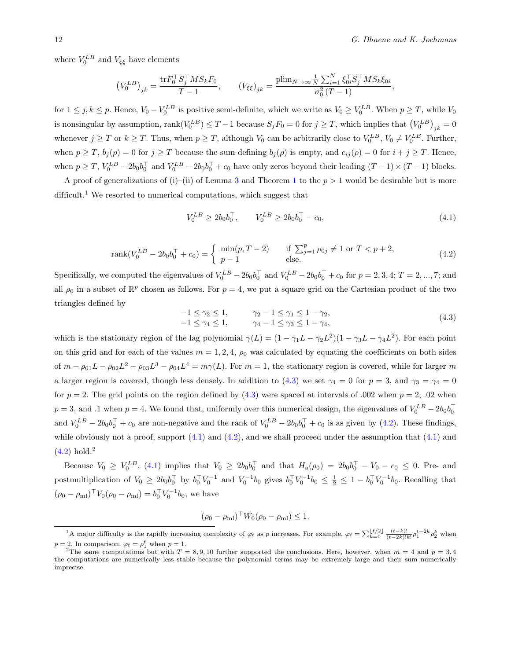where  $V_0^{LB}$  and  $V_{\xi\xi}$  have elements

$$
(V_0^{LB})_{jk} = \frac{\text{tr} F_0^\top S_j^\top M S_k F_0}{T - 1}, \qquad (V_{\xi\xi})_{jk} = \frac{\text{plim}_{N \to \infty} \frac{1}{N} \sum_{i=1}^N \xi_{0i}^\top S_j^\top M S_k \xi_{0i}}{\sigma_0^2 (T - 1)},
$$

for  $1 \le j, k \le p$ . Hence,  $V_0 - V_0^{LB}$  is positive semi-definite, which we write as  $V_0 \ge V_0^{LB}$ . When  $p \ge T$ , while  $V_0$ is nonsingular by assumption,  $\text{rank}(V_0^{LB}) \leq T - 1$  because  $S_j F_0 = 0$  for  $j \geq T$ , which implies that  $(V_0^{LB})_{jk} = 0$ whenever  $j \geq T$  or  $k \geq T$ . Thus, when  $p \geq T$ , although  $V_0$  can be arbitrarily close to  $V_0^{LB}$ ,  $V_0 \neq V_0^{LB}$ . Further, when  $p \geq T$ ,  $b_j(\rho) = 0$  for  $j \geq T$  because the sum defining  $b_j(\rho)$  is empty, and  $c_{ij}(\rho) = 0$  for  $i + j \geq T$ . Hence, when  $p \geq T$ ,  $V_0^{LB} - 2b_0b_0^{\top}$  and  $V_0^{LB} - 2b_0b_0^{\top} + c_0$  have only zeros beyond their leading  $(T - 1) \times (T - 1)$  blocks.

A proof of generalizations of (i)–(ii) of Lemma [3](#page-9-0) and Theorem [1](#page-9-1) to the  $p > 1$  would be desirable but is more difficult.<sup>1</sup> We resorted to numerical computations, which suggest that

<span id="page-12-2"></span>
$$
V_0^{LB} \ge 2b_0 b_0^{\top}, \qquad V_0^{LB} \ge 2b_0 b_0^{\top} - c_0,\tag{4.1}
$$

<span id="page-12-0"></span>rank
$$
(V_0^{LB} - 2b_0b_0^{\top} + c_0)
$$
 =  $\begin{cases} \min(p, T - 2) & \text{if } \sum_{j=1}^p \rho_{0j} \neq 1 \text{ or } T < p + 2, \\ p - 1 & \text{else.} \end{cases}$  (4.2)

<span id="page-12-1"></span>Specifically, we computed the eigenvalues of  $V_0^{LB} - 2b_0b_0^{\top}$  and  $V_0^{LB} - 2b_0b_0^{\top} + c_0$  for  $p = 2, 3, 4; T = 2, ..., 7;$  and all  $\rho_0$  in a subset of  $\mathbb{R}^p$  chosen as follows. For  $p=4$ , we put a square grid on the Cartesian product of the two triangles defined by

$$
-1 \le \gamma_2 \le 1, \qquad \gamma_2 - 1 \le \gamma_1 \le 1 - \gamma_2,-1 \le \gamma_4 \le 1, \qquad \gamma_4 - 1 \le \gamma_3 \le 1 - \gamma_4,
$$
\n(4.3)

which is the stationary region of the lag polynomial  $\gamma(L) = (1 - \gamma_1 L - \gamma_2 L^2)(1 - \gamma_3 L - \gamma_4 L^2)$ . For each point on this grid and for each of the values  $m = 1, 2, 4, \rho_0$  was calculated by equating the coefficients on both sides of  $m - \rho_{01}L - \rho_{02}L^2 - \rho_{03}L^3 - \rho_{04}L^4 = m\gamma(L)$ . For  $m = 1$ , the stationary region is covered, while for larger *m* a larger region is covered, though less densely. In addition to [\(4.3\)](#page-12-0) we set  $\gamma_4 = 0$  for  $p = 3$ , and  $\gamma_3 = \gamma_4 = 0$ for  $p = 2$ . The grid points on the region defined by  $(4.3)$  were spaced at intervals of  $.002$  when  $p = 2$ ,  $.02$  when  $p = 3$ , and *.*1 when  $p = 4$ . We found that, uniformly over this numerical design, the eigenvalues of  $V_0^{LB} - 2b_0b_0^{\dagger}$ and  $V_0^{LB} - 2b_0b_0^{\dagger} + c_0$  are non-negative and the rank of  $V_0^{LB} - 2b_0b_0^{\dagger} + c_0$  is as given by [\(4.2\)](#page-12-1). These findings, while obviously not a proof, support  $(4.1)$  and  $(4.2)$ , and we shall proceed under the assumption that  $(4.1)$  and  $(4.2)$  hold.<sup>2</sup>

Because  $V_0 \geq V_0^{LB}$ , [\(4.1\)](#page-12-2) implies that  $V_0 \geq 2b_0b_0^{\top}$  and that  $H_a(\rho_0) = 2b_0b_0^{\top} - V_0 - c_0 \leq 0$ . Pre- and postmultiplication of  $V_0 \ge 2b_0 b_0^{\top}$  by  $b_0^{\top} V_0^{-1}$  and  $V_0^{-1} b_0$  gives  $b_0^{\top} V_0^{-1} b_0 \le \frac{1}{2} \le 1 - b_0^{\top} V_0^{-1} b_0$ . Recalling that  $(\rho_0 - \rho_{\text{ml}})^{\top} V_0(\rho_0 - \rho_{\text{ml}}) = b_0^{\top} V_0^{-1} b_0$ , we have

$$
(\rho_0 - \rho_{\rm ml})^{\top} W_0 (\rho_0 - \rho_{\rm ml}) \leq 1.
$$

<sup>&</sup>lt;sup>1</sup>A major difficulty is the rapidly increasing complexity of  $\varphi_t$  as p increases. For example,  $\varphi_t = \sum_{k=0}^{\lfloor t/2 \rfloor} \frac{(t-k)!}{(t-2k)!k!} \rho_1^{t-2k} \rho_2^k$  when  $p = 2$ . In comparison,  $\varphi_t = \rho_1^t$  when  $p = 1$ .

<sup>&</sup>lt;sup>2</sup>The same computations but with  $T = 8, 9, 10$  further supported the conclusions. Here, however, when  $m = 4$  and  $p = 3, 4$ the computations are numerically less stable because the polynomial terms may be extremely large and their sum numerically imprecise.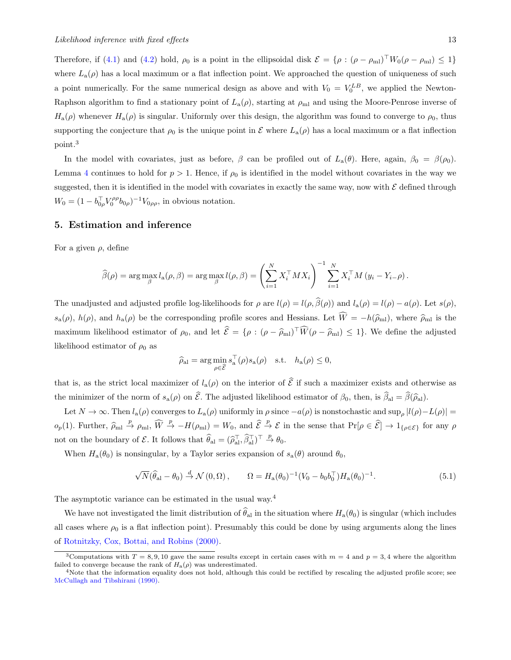Therefore, if [\(4.1\)](#page-12-2) and [\(4.2\)](#page-12-1) hold,  $\rho_0$  is a point in the ellipsoidal disk  $\mathcal{E} = {\rho : (\rho - \rho_{\text{ml}})^{\top}W_0(\rho - \rho_{\text{ml}}) \leq 1}$ where  $L_{\rm a}(\rho)$  has a local maximum or a flat inflection point. We approached the question of uniqueness of such a point numerically. For the same numerical design as above and with  $V_0 = V_0^{LB}$ , we applied the Newton-Raphson algorithm to find a stationary point of  $L_a(\rho)$ , starting at  $\rho_{ml}$  and using the Moore-Penrose inverse of  $H_a(\rho)$  whenever  $H_a(\rho)$  is singular. Uniformly over this design, the algorithm was found to converge to  $\rho_0$ , thus supporting the conjecture that  $\rho_0$  is the unique point in  $\mathcal E$  where  $L_a(\rho)$  has a local maximum or a flat inflection point.<sup>3</sup>

In the model with covariates, just as before,  $\beta$  can be profiled out of  $L_a(\theta)$ . Here, again,  $\beta_0 = \beta(\rho_0)$ . Lemma [4](#page-11-0) continues to hold for  $p > 1$ . Hence, if  $\rho_0$  is identified in the model without covariates in the way we suggested, then it is identified in the model with covariates in exactly the same way, now with  $\mathcal E$  defined through  $W_0 = (1 - b_{0\rho}^{\top} V_0^{\rho\rho} b_{0\rho})^{-1} V_{0\rho\rho}$ , in obvious notation.

## 5. Estimation and inference

For a given  $\rho$ , define

$$
\widehat{\beta}(\rho) = \arg \max_{\beta} l_{\mathbf{a}}(\rho, \beta) = \arg \max_{\beta} l(\rho, \beta) = \left( \sum_{i=1}^{N} X_i^{\top} M X_i \right)^{-1} \sum_{i=1}^{N} X_i^{\top} M (y_i - Y_{i-\rho}).
$$

The unadjusted and adjusted profile log-likelihoods for  $\rho$  are  $l(\rho) = l(\rho, \hat{\beta}(\rho))$  and  $l_a(\rho) = l(\rho) - a(\rho)$ . Let  $s(\rho)$ ,  $s_a(\rho)$ ,  $h(\rho)$ , and  $h_a(\rho)$  be the corresponding profile scores and Hessians. Let  $W = -h(\hat{\rho}_{m_l})$ , where  $\hat{\rho}_{m_l}$  is the maximum likelihood estimator of  $\rho_0$ , and let  $\mathcal{E} = \{\rho : (\rho - \widehat{\rho}_{ml}) \mid W(\rho - \widehat{\rho}_{ml}) \leq 1\}$ . We define the adjusted likelihood estimator of  $\rho_0$  as

$$
\widehat{\rho}_{\mathrm{al}} = \arg\min_{\rho \in \widehat{\mathcal{E}}} s_{\mathrm{a}}^{\top}(\rho) s_{\mathrm{a}}(\rho) \quad \text{s.t.} \quad h_{\mathrm{a}}(\rho) \le 0,
$$

that is, as the strict local maximizer of  $l_a(\rho)$  on the interior of  $\mathcal E$  if such a maximizer exists and otherwise as the minimizer of the norm of  $s_a(\rho)$  on  $\mathcal{E}$ . The adjusted likelihood estimator of  $\beta_0$ , then, is  $\beta_{al} = \beta(\widehat{\rho}_{al})$ .

Let  $N \to \infty$ . Then  $l_a(\rho)$  converges to  $L_a(\rho)$  uniformly in  $\rho$  since  $-a(\rho)$  is nonstochastic and sup<sub> $\rho$ </sub>  $|l(\rho)-L(\rho)|=$  $o_p(1)$ . Further,  $\hat{\rho}_{ml} \stackrel{p}{\rightarrow} \rho_{ml}$ ,  $\widehat{W} \stackrel{p}{\rightarrow} -H(\rho_{ml}) = W_0$ , and  $\widehat{\mathcal{E}} \stackrel{p}{\rightarrow} \mathcal{E}$  in the sense that  $\Pr[\rho \in \widehat{\mathcal{E}}] \rightarrow 1_{\{\rho \in \mathcal{E}\}}$  for any  $\rho$ not on the boundary of *E*. It follows that  $\widehat{\theta}_{al} = (\widehat{\rho}_{al}^{\top}, \widehat{\beta}_{al}^{\top})^{\top} \stackrel{p}{\to} \theta_0$ .

When  $H_a(\theta_0)$  is nonsingular, by a Taylor series expansion of  $s_a(\theta)$  around  $\theta_0$ ,

$$
\sqrt{N}(\widehat{\theta}_{\rm al} - \theta_0) \stackrel{d}{\rightarrow} \mathcal{N}(0, \Omega), \qquad \Omega = H_a(\theta_0)^{-1} (V_0 - b_0 b_0^\top) H_a(\theta_0)^{-1}.
$$
\n(5.1)

The asymptotic variance can be estimated in the usual way.<sup>4</sup>

We have not investigated the limit distribution of  $\theta_{al}$  in the situation where  $H_a(\theta_0)$  is singular (which includes all cases where  $\rho_0$  is a flat inflection point). Presumably this could be done by using arguments along the lines of [Rotnitzky, Cox, Bottai, and Robins \(2000\).](#page-27-6)

<sup>&</sup>lt;sup>3</sup>Computations with  $T = 8,9,10$  gave the same results except in certain cases with  $m = 4$  and  $p = 3,4$  where the algorithm failed to converge because the rank of  $H_a(\rho)$  was underestimated.<br><sup>4</sup>Note that the information equality does not hold, although this could be rectified by rescaling the adjusted profile score; see

[McCullagh and Tibshirani \(1990\).](#page-27-1)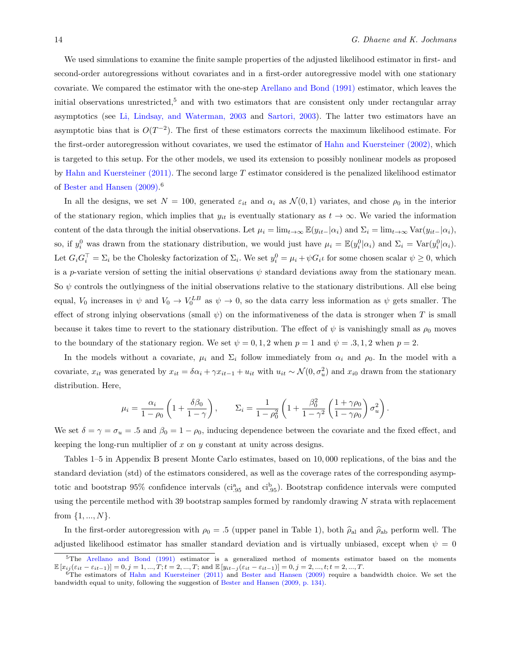We used simulations to examine the finite sample properties of the adjusted likelihood estimator in first- and second-order autoregressions without covariates and in a first-order autoregressive model with one stationary covariate. We compared the estimator with the one-step [Arellano and Bond \(1991\)](#page-27-22) estimator, which leaves the initial observations unrestricted,<sup>5</sup> and with two estimators that are consistent only under rectangular array asymptotics (see [Li, Lindsay, and Waterman, 2003](#page-1-3) and [Sartori, 2003\)](#page-27-23). The latter two estimators have an asymptotic bias that is  $O(T^{-2})$ . The first of these estimators corrects the maximum likelihood estimate. For the first-order autoregression without covariates, we used the estimator of [Hahn and Kuersteiner \(2002\),](#page-27-24) which is targeted to this setup. For the other models, we used its extension to possibly nonlinear models as proposed by [Hahn and Kuersteiner \(2011\).](#page-27-25) The second large *T* estimator considered is the penalized likelihood estimator of [Bester and Hansen \(2009\).](#page-27-12) 6

In all the designs, we set  $N = 100$ , generated  $\varepsilon_{it}$  and  $\alpha_i$  as  $\mathcal{N}(0,1)$  variates, and chose  $\rho_0$  in the interior of the stationary region, which implies that  $y_{it}$  is eventually stationary as  $t \to \infty$ . We varied the information content of the data through the initial observations. Let  $\mu_i = \lim_{t \to \infty} \mathbb{E}(y_{it-}|\alpha_i)$  and  $\Sigma_i = \lim_{t \to \infty} \text{Var}(y_{it-}|\alpha_i)$ , so, if  $y_i^0$  was drawn from the stationary distribution, we would just have  $\mu_i = \mathbb{E}(y_i^0 | \alpha_i)$  and  $\Sigma_i = \text{Var}(y_i^0 | \alpha_i)$ . Let  $G_i G_i^{\top} = \Sigma_i$  be the Cholesky factorization of  $\Sigma_i$ . We set  $y_i^0 = \mu_i + \psi G_i t$  for some chosen scalar  $\psi \ge 0$ , which is a *p*-variate version of setting the initial observations  $\psi$  standard deviations away from the stationary mean. So  $\psi$  controls the outlyingness of the initial observations relative to the stationary distributions. All else being equal,  $V_0$  increases in  $\psi$  and  $V_0 \to V_0^{LB}$  as  $\psi \to 0$ , so the data carry less information as  $\psi$  gets smaller. The effect of strong inlying observations (small  $\psi$ ) on the informativeness of the data is stronger when *T* is small because it takes time to revert to the stationary distribution. The effect of  $\psi$  is vanishingly small as  $\rho_0$  moves to the boundary of the stationary region. We set  $\psi = 0, 1, 2$  when  $p = 1$  and  $\psi = .3, 1, 2$  when  $p = 2$ .

In the models without a covariate,  $\mu_i$  and  $\Sigma_i$  follow immediately from  $\alpha_i$  and  $\rho_0$ . In the model with a covariate,  $x_{it}$  was generated by  $x_{it} = \delta \alpha_i + \gamma x_{it-1} + u_{it}$  with  $u_{it} \sim \mathcal{N}(0, \sigma_u^2)$  and  $x_{i0}$  drawn from the stationary distribution. Here,

$$
\mu_i = \frac{\alpha_i}{1 - \rho_0} \left( 1 + \frac{\delta \beta_0}{1 - \gamma} \right), \qquad \Sigma_i = \frac{1}{1 - \rho_0^2} \left( 1 + \frac{\beta_0^2}{1 - \gamma^2} \left( \frac{1 + \gamma \rho_0}{1 - \gamma \rho_0} \right) \sigma_u^2 \right).
$$

We set  $\delta = \gamma = \sigma_u = .5$  and  $\beta_0 = 1 - \rho_0$ , inducing dependence between the covariate and the fixed effect, and keeping the long-run multiplier of *x* on *y* constant at unity across designs.

Tables 1–5 in Appendix B present Monte Carlo estimates, based on 10*,* 000 replications, of the bias and the standard deviation (std) of the estimators considered, as well as the coverage rates of the corresponding asymptotic and bootstrap 95% confidence intervals (ci<sup>3</sup><sub>95</sub> and ci<sup>b</sup><sub>95</sub>). Bootstrap confidence intervals were computed using the percentile method with 39 bootstrap samples formed by randomly drawing *N* strata with replacement from *{*1*, ..., N}*.

In the first-order autoregression with  $\rho_0 = .5$  (upper panel in Table 1), both  $\hat{\rho}_{al}$  and  $\hat{\rho}_{ab}$  perform well. The adjusted likelihood estimator has smaller standard deviation and is virtually unbiased, except when  $\psi = 0$ 

<sup>5</sup>The [Arellano and Bond \(1991\)](#page-27-22) estimator is a generalized method of moments estimator based on the moments  $\mathbb{E}[x_{ij}(\varepsilon_{it} - \varepsilon_{it-1})] = 0, j = 1, ..., T; t = 2, ..., T; \text{ and } \mathbb{E}[y_{it-j}(\varepsilon_{it} - \varepsilon_{it-1})] = 0, j = 2, ..., t; t = 2, ..., T.$ <br>
<sup>6</sup>The estimators of [Hahn and Kuersteiner \(2011\)](#page-27-25) and [Bester and Hansen \(2009\)](#page-27-12) require a bandwidth choice. We set t

bandwidth equal to unity, following the suggestion of [Bester and Hansen \(2009, p. 134\).](#page-27-12)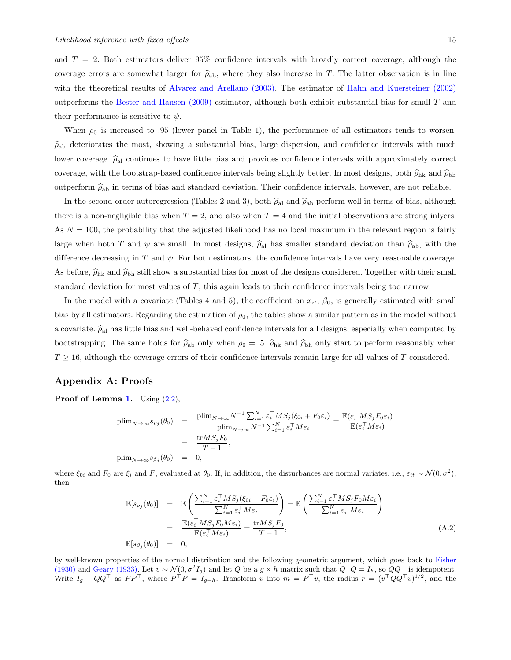and *T* = 2. Both estimators deliver 95% confidence intervals with broadly correct coverage, although the coverage errors are somewhat larger for  $\hat{\rho}_{ab}$ , where they also increase in *T*. The latter observation is in line with the theoretical results of [Alvarez and Arellano \(2003\).](#page-27-26) The estimator of [Hahn and Kuersteiner \(2002\)](#page-27-24) outperforms the [Bester and Hansen \(2009\)](#page-27-12) estimator, although both exhibit substantial bias for small *T* and their performance is sensitive to  $\psi$ .

When  $\rho_0$  is increased to .95 (lower panel in Table 1), the performance of all estimators tends to worsen.  $\hat{\rho}_{ab}$  deteriorates the most, showing a substantial bias, large dispersion, and confidence intervals with much lower coverage.  $\hat{\rho}_{al}$  continues to have little bias and provides confidence intervals with approximately correct coverage, with the bootstrap-based confidence intervals being slightly better. In most designs, both  $\hat{\rho}_{hk}$  and  $\hat{\rho}_{bh}$ outperform  $\hat{\rho}_{ab}$  in terms of bias and standard deviation. Their confidence intervals, however, are not reliable.

In the second-order autoregression (Tables 2 and 3), both  $\hat{\rho}_{al}$  and  $\hat{\rho}_{ab}$  perform well in terms of bias, although there is a non-negligible bias when  $T = 2$ , and also when  $T = 4$  and the initial observations are strong inlyers. As  $N = 100$ , the probability that the adjusted likelihood has no local maximum in the relevant region is fairly large when both *T* and  $\psi$  are small. In most designs,  $\hat{\rho}_{al}$  has smaller standard deviation than  $\hat{\rho}_{ab}$ , with the difference decreasing in  $T$  and  $\psi$ . For both estimators, the confidence intervals have very reasonable coverage. As before,  $\hat{\rho}_{hk}$  and  $\hat{\rho}_{bh}$  still show a substantial bias for most of the designs considered. Together with their small standard deviation for most values of *T*, this again leads to their confidence intervals being too narrow.

In the model with a covariate (Tables 4 and 5), the coefficient on  $x_{it}$ ,  $\beta_0$ , is generally estimated with small bias by all estimators. Regarding the estimation of  $\rho_0$ , the tables show a similar pattern as in the model without a covariate.  $\hat{\rho}_{\rm al}$  has little bias and well-behaved confidence intervals for all designs, especially when computed by bootstrapping. The same holds for  $\hat{\rho}_{ab}$  only when  $\rho_0 = .5$ .  $\hat{\rho}_{hk}$  and  $\hat{\rho}_{bh}$  only start to perform reasonably when  $T \geq 16$ , although the coverage errors of their confidence intervals remain large for all values of *T* considered.

## Appendix A: Proofs

**Proof of Lemma [1.](#page-3-0)** Using  $(2.2)$ ,

$$
\begin{array}{rcl}\n\text{plim}_{N \to \infty} s_{\rho_j}(\theta_0) & = & \frac{\text{plim}_{N \to \infty} N^{-1} \sum_{i=1}^N \varepsilon_i^\top M S_j(\xi_{0i} + F_0 \varepsilon_i)}{\text{plim}_{N \to \infty} N^{-1} \sum_{i=1}^N \varepsilon_i^\top M \varepsilon_i} = \frac{\mathbb{E}(\varepsilon_i^\top M S_j F_0 \varepsilon_i)}{\mathbb{E}(\varepsilon_i^\top M \varepsilon_i)} \\
& = & \frac{\text{tr} M S_j F_0}{T - 1}, \\
\text{plim}_{N \to \infty} s_{\beta_j}(\theta_0) & = & 0,\n\end{array}
$$

where  $\xi_{0i}$  and  $F_0$  are  $\xi_i$  and  $F$ , evaluated at  $\theta_0$ . If, in addition, the disturbances are normal variates, i.e.,  $\varepsilon_{it} \sim \mathcal{N}(0, \sigma^2)$ , then

<span id="page-15-0"></span>
$$
\mathbb{E}[s_{\rho_j}(\theta_0)] = \mathbb{E}\left(\frac{\sum_{i=1}^N \varepsilon_i^\top MS_j(\xi_{0i} + F_0 \varepsilon_i)}{\sum_{i=1}^N \varepsilon_i^\top M \varepsilon_i}\right) = \mathbb{E}\left(\frac{\sum_{i=1}^N \varepsilon_i^\top MS_j F_0 M \varepsilon_i}{\sum_{i=1}^N \varepsilon_i^\top M \varepsilon_i}\right)
$$
\n
$$
= \frac{\mathbb{E}(\varepsilon_i^\top MS_j F_0 M \varepsilon_i)}{\mathbb{E}(\varepsilon_i^\top M \varepsilon_i)} = \frac{\text{tr} MS_j F_0}{T - 1},
$$
\n(A.2)\n
$$
\mathbb{E}[s_{\beta_j}(\theta_0)] = 0,
$$

by well-known properties of the normal distribution and the following geometric argument, which goes back to [Fisher](#page-27-27) [\(1930\)](#page-27-27) and [Geary \(1933\).](#page-27-28) Let  $v \sim \mathcal{N}(0, \sigma^2 I_g)$  and let *Q* be a  $g \times h$  matrix such that  $Q^{\top} Q = I_h$ , so  $QQ^{\top}$  is idempotent. Write  $I_g - QQ^\top$  as  $PP^\top$ , where  $P^\top P = I_{g-h}$ . Transform v into  $m = P^\top v$ , the radius  $r = (v^\top QQ^\top v)^{1/2}$ , and the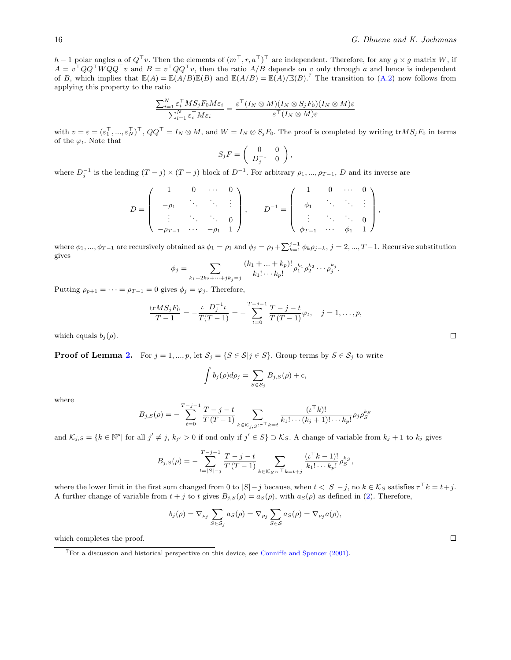$h-1$  polar angles  $a \circ f$   $Q'$  v. Then the elements of  $(m^+, r, a^+)$  are independent. Therefore, for any  $g \times g$  matrix *W*, if  $A = v<sup>+</sup>QQ<sup>+</sup> WQQ<sup>+</sup> v$  and  $B = v<sup>+</sup> QQ<sup>+</sup> v$ , then the ratio  $A/B$  depends on *v* only through *a* and hence is independent of *B*, which implies that  $\mathbb{E}(A) = \mathbb{E}(A/B)\mathbb{E}(B)$  and  $\mathbb{E}(A/B) = \mathbb{E}(A)/\mathbb{E}(B)$ .<sup>7</sup> The transition to [\(A.2\)](#page-15-0) now follows from applying this property to the ratio

$$
\frac{\sum_{i=1}^N \varepsilon_i^\top M S_j F_0 M \varepsilon_i}{\sum_{i=1}^N \varepsilon_i^\top M \varepsilon_i} = \frac{\varepsilon^\top (I_N \otimes M)(I_N \otimes S_j F_0)(I_N \otimes M)\varepsilon}{\varepsilon^\top (I_N \otimes M)\varepsilon}
$$

with  $v = \varepsilon = (\varepsilon_1^+, ..., \varepsilon_N^+)^\top$ ,  $QQ^\top = I_N \otimes M$ , and  $W = I_N \otimes S_j F_0$ . The proof is completed by writing  ${\rm tr} MS_j F_0$  in terms of the  $\varphi_t$ . Note that

$$
S_j F = \left( \begin{array}{cc} 0 & 0 \\ D_j^{-1} & 0 \end{array} \right),
$$

where  $D_j^{-1}$  is the leading  $(T - j) \times (T - j)$  block of  $D^{-1}$ . For arbitrary  $\rho_1, ..., \rho_{T-1}, D$  and its inverse are

$$
D = \left( \begin{array}{cccc} 1 & 0 & \cdots & 0 \\ -\rho_1 & \ddots & \ddots & \vdots \\ \vdots & \ddots & \ddots & 0 \\ -\rho_{T-1} & \cdots & -\rho_1 & 1 \end{array} \right), \qquad D^{-1} = \left( \begin{array}{cccc} 1 & 0 & \cdots & 0 \\ \phi_1 & \ddots & \ddots & \vdots \\ \vdots & \ddots & \ddots & 0 \\ \phi_{T-1} & \cdots & \phi_1 & 1 \end{array} \right),
$$

where  $\phi_1, ..., \phi_{T-1}$  are recursively obtained as  $\phi_1 = \rho_1$  and  $\phi_j = \rho_j + \sum_{k=1}^{j-1} \phi_k \rho_{j-k}, j = 2, ..., T-1$ . Recursive substitution gives

$$
\phi_j = \sum_{k_1+2k_2+\cdots+jk_j=j} \frac{(k_1+\ldots+k_p)!}{k_1!\cdots k_p!} \rho_1^{k_1} \rho_2^{k_2} \cdots \rho_j^{k_j}.
$$

Putting  $\rho_{p+1} = \cdots = \rho_{T-1} = 0$  gives  $\phi_j = \varphi_j$ . Therefore,

$$
\frac{\text{tr}MS_jF_0}{T-1} = -\frac{\iota^{\top}D_j^{-1}\iota}{T(T-1)} = -\sum_{t=0}^{T-j-1}\frac{T-j-t}{T(T-1)}\varphi_t, \quad j=1,\ldots,p,
$$

which equals  $b_i(\rho)$ .

**Proof of Lemma [2.](#page-4-0)** For  $j = 1, ..., p$ , let  $S_j = \{S \in S | j \in S\}$ . Group terms by  $S \in S_j$  to write

$$
\int b_j(\rho)d\rho_j = \sum_{S \in \mathcal{S}_j} B_{j,S}(\rho) + c,
$$

where

$$
B_{j,S}(\rho) = -\sum_{t=0}^{T-j-1} \frac{T-j-t}{T(T-1)} \sum_{k \in \mathcal{K}_{j,S}: \tau \vdash k=t} \frac{(\iota^{\top} k)!}{k_1! \cdots (k_j+1)! \cdots k_p!} \rho_j \rho_S^{k_S}
$$

and  $\mathcal{K}_{j,S} = \{k \in \mathbb{N}^p | \text{ for all } j' \neq j, k_{j'} > 0 \text{ if and only if } j' \in S\} \supset \mathcal{K}_S$ . A change of variable from  $k_j + 1$  to  $k_j$  gives

$$
B_{j,S}(\rho) = -\sum_{t=|S|-j}^{T-j-1} \frac{T-j-t}{T(T-1)} \sum_{k \in \mathcal{K}_S: \tau \subset \tau} \frac{(t^{\top}k-1)!}{k_1! \cdots k_p!} \rho_S^{k_S},
$$

where the lower limit in the first sum changed from 0 to  $|S| - j$  because, when  $t < |S| - j$ , no  $k \in \mathcal{K}_S$  satisfies  $\tau^{\top} k = t + j$ . A further change of variable from  $t + j$  to  $t$  gives  $B_j$ ,  $S(\rho) = a_S(\rho)$ , with  $a_S(\rho)$  as defined in [\(2\)](#page-4-0). Therefore,

$$
b_j(\rho) = \nabla_{\rho_j} \sum_{S \in \mathcal{S}_j} a_S(\rho) = \nabla_{\rho_j} \sum_{S \in \mathcal{S}} a_S(\rho) = \nabla_{\rho_j} a(\rho),
$$

which completes the proof.

 $\Box$ 

 $\Box$ 

<sup>7</sup>For a discussion and historical perspective on this device, see [Conniffe and Spencer \(2001\).](#page-27-29)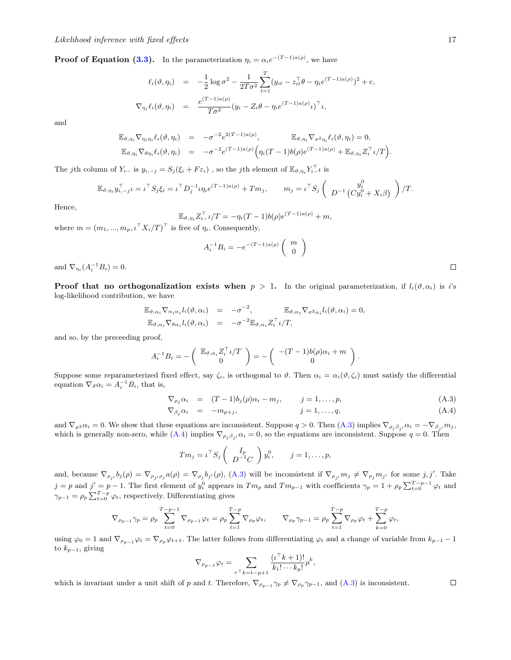**Proof of Equation [\(3.3\)](#page-6-2).** In the parameterization  $\eta_i = \alpha_i e^{-(T-1)a(\rho)}$ , we have

$$
\ell_i(\vartheta, \eta_i) = -\frac{1}{2} \log \sigma^2 - \frac{1}{2T\sigma^2} \sum_{t=1}^T (y_{it} - z_{it}^\top \theta - \eta_i e^{(T-1)a(\rho)})^2 + c,
$$
  

$$
\nabla_{\eta_i} \ell_i(\vartheta, \eta_i) = \frac{e^{(T-1)a(\rho)}}{T\sigma^2} (y_i - Z_i \theta - \eta_i e^{(T-1)a(\rho)} t)^\top t,
$$

and

$$
\mathbb{E}_{\vartheta,\eta_i} \nabla_{\eta_i \eta_i} \ell_i(\vartheta,\eta_i) = -\sigma^{-2} e^{2(T-1)a(\rho)}, \qquad \mathbb{E}_{\vartheta,\eta_i} \nabla_{\sigma^2 \eta_i} \ell_i(\vartheta,\eta_i) = 0,
$$
  

$$
\mathbb{E}_{\vartheta,\eta_i} \nabla_{\theta \eta_i} \ell_i(\vartheta,\eta_i) = -\sigma^{-2} e^{(T-1)a(\rho)} \Big( \eta_i(T-1)b(\rho) e^{(T-1)a(\rho)} + \mathbb{E}_{\vartheta,\eta_i} Z_i^\top \iota/T \Big).
$$

The *j*th column of  $Y_{i-}$  is  $y_{i,-j} = S_j(\xi_i + F\varepsilon_i)$ , so the *j*th element of  $\mathbb{E}_{\vartheta, \eta_i} Y_{i-}^{\perp} \iota$  is

$$
\mathbb{E}_{\vartheta, \eta_i} y_{i, -j}^\top \iota = \iota^\top S_j \xi_i = \iota^\top D_j^{-1} \iota \eta_i e^{(T-1)a(\rho)} + T m_j, \qquad m_j = \iota^\top S_j \left( D^{-1} \begin{pmatrix} y_i^0 \\ C y_i^0 + X_i \beta \end{pmatrix} \right) / T.
$$

Hence,

$$
\mathbb{E}_{\vartheta,\eta_i} Z_{i-}^\top \iota/T = -\eta_i (T-1) b(\rho) e^{(T-1)a(\rho)} + m,
$$

where  $m = (m_1, ..., m_p, \iota^{\top} X_i/T)^{\top}$  is free of  $\eta_i$ . Consequently,

$$
A_i^{-1}B_i = -e^{-(T-1)a(\rho)} \begin{pmatrix} m \\ 0 \end{pmatrix}
$$

and  $\nabla_{\eta_i} (A_i^{-1} B_i) = 0.$ 

**Proof that no orthogonalization exists when**  $p > 1$ **. In the original parameterization, if**  $l_i(\vartheta, \alpha_i)$  **is** *i***'s** log-likelihood contribution, we have

$$
\mathbb{E}_{\vartheta,\alpha_i} \nabla_{\alpha_i \alpha_i} l_i(\vartheta, \alpha_i) = -\sigma^{-2}, \qquad \mathbb{E}_{\vartheta,\alpha_i} \nabla_{\sigma^2 \alpha_i} l_i(\vartheta, \alpha_i) = 0, \n\mathbb{E}_{\vartheta,\alpha_i} \nabla_{\theta \alpha_i} l_i(\vartheta, \alpha_i) = -\sigma^{-2} \mathbb{E}_{\vartheta,\alpha_i} Z_i^{\top} \iota / T,
$$

and so, by the preceeding proof,

$$
A_i^{-1}B_i = -\begin{pmatrix} \mathbb{E}_{\vartheta, \alpha_i} Z_i^{\top} \iota/T \\ 0 \end{pmatrix} = -\begin{pmatrix} -(T-1)b(\rho)\alpha_i + m \\ 0 \end{pmatrix}.
$$

Suppose some reparameterized fixed effect, say  $\zeta_i$ , is orthogonal to  $\vartheta$ . Then  $\alpha_i = \alpha_i(\vartheta, \zeta_i)$  must satisfy the differential equation  $\nabla_{\theta} \alpha_i = A_i^{-1} B_i$ , that is,

$$
\nabla_{\rho_j} \alpha_i = (T-1)b_j(\rho)\alpha_i - m_j, \qquad j = 1, \dots, p,
$$
\n(A.3)

<span id="page-17-0"></span>
$$
\nabla_{\beta_j} \alpha_i = -m_{p+j}, \qquad j = 1, \dots, q,\tag{A.4}
$$

and  $\nabla_{\sigma^2} \alpha_i = 0$ . We show that these equations are inconsistent. Suppose  $q > 0$ . Then  $(A.3)$  implies  $\nabla_{\rho_j \beta_{j'}} \alpha_i = -\nabla_{\beta_{j'}} m_j$ , which is generally non-zero, while  $(A.4)$  implies  $\nabla_{\rho_j \beta_{j'}} \alpha_i = 0$ , so the equations are inconsistent. Suppose  $q = 0$ . Then

$$
T m_j = \iota^\top S_j \left( \begin{array}{c} I_p \\ D^{-1} C \end{array} \right) y_i^0, \qquad j = 1, \ldots, p,
$$

and, because  $\nabla_{\rho_{j'}}b_j(\rho) = \nabla_{\rho_{j'}\rho_j}a(\rho) = \nabla_{\rho_j}b_{j'}(\rho)$ , [\(A.3\)](#page-17-0) will be inconsistent if  $\nabla_{\rho_{j'}}m_j \neq \nabla_{\rho_j}m_{j'}$  for some  $j, j'$ . Take  $j = p$  and  $j' = p - 1$ . The first element of  $y_i^0$  appears in  $Tm_p$  and  $Tm_{p-1}$  with coefficients  $\gamma_p = 1 + \rho_p \sum_{t=0}^{T-p-1} \varphi_t$  and  $\gamma_{p-1} = \rho_p \sum_{t=0}^{T-p} \varphi_t$ , respectively. Differentiating gives

$$
\nabla_{\rho_{p-1}} \gamma_p = \rho_p \sum_{t=0}^{T-p-1} \nabla_{\rho_{p-1}} \varphi_t = \rho_p \sum_{t=1}^{T-p} \nabla_{\rho_p} \varphi_t, \qquad \nabla_{\rho_p} \gamma_{p-1} = \rho_p \sum_{t=1}^{T-p} \nabla_{\rho_p} \varphi_t + \sum_{k=0}^{T-p} \varphi_t,
$$

using  $\varphi_0 = 1$  and  $\nabla_{\rho_p-1} \varphi_t = \nabla_{\rho_p} \varphi_{t+1}$ . The latter follows from differentiating  $\varphi_t$  and a change of variable from  $k_{p-1} - 1$ to  $k_{p-1}$ , giving

$$
\nabla_{\rho_{p-1}}\varphi_t = \sum_{\tau \top k = t-p+1} \frac{(\iota^{\top} k+1)!}{k_1! \cdots k_p!} \rho^k,
$$

which is invariant under a unit shift of *p* and *t*. Therefore,  $\nabla_{\rho_{p-1}} \gamma_p \neq \nabla_{\rho_p} \gamma_{p-1}$ , and [\(A.3\)](#page-17-0) is inconsistent.

 $\Box$ 

 $\Box$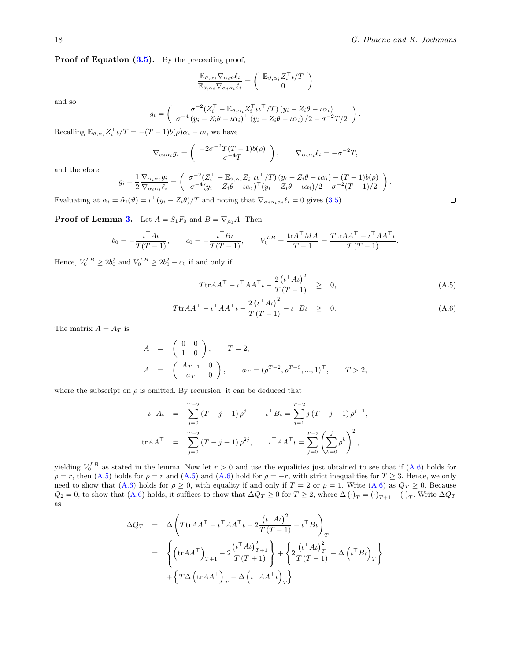Proof of Equation  $(3.5)$ . By the preceeding proof,

$$
\frac{\mathbb{E}_{\vartheta,\alpha_i} \nabla_{\alpha_i \vartheta} \ell_i}{\mathbb{E}_{\vartheta,\alpha_i} \nabla_{\alpha_i \alpha_i} \ell_i} = \left(\begin{array}{c} \mathbb{E}_{\vartheta,\alpha_i} Z_i^\top \iota/T\\ 0 \end{array}\right)
$$

and so

$$
g_i = \begin{pmatrix} \sigma^{-2} (Z_i^{\top} - \mathbb{E}_{\vartheta, \alpha_i} Z_i^{\top} \iota \iota^{\top} / T) (y_i - Z_i \theta - \iota \alpha_i) \\ \sigma^{-4} (y_i - Z_i \theta - \iota \alpha_i)^{\top} (y_i - Z_i \theta - \iota \alpha_i) / 2 - \sigma^{-2} T / 2 \end{pmatrix}.
$$

Recalling  $\mathbb{E}_{\vartheta, \alpha_i} Z_i^{\dagger} \iota/T = -(T-1)b(\rho)\alpha_i + m$ , we have

$$
\nabla_{\alpha_i \alpha_i} g_i = \begin{pmatrix} -2\sigma^{-2} T(T-1)b(\rho) \\ \sigma^{-4} T \end{pmatrix}, \qquad \nabla_{\alpha_i \alpha_i} \ell_i = -\sigma^{-2} T,
$$

and therefore

$$
g_i - \frac{1}{2} \frac{\nabla_{\alpha_i \alpha_i} g_i}{\nabla_{\alpha_i \alpha_i} \ell_i} = \begin{pmatrix} \sigma^{-2} (Z_i^{\top} - \mathbb{E}_{\vartheta, \alpha_i} Z_i^{\top} \iota \iota^{\top} / T) (y_i - Z_i \theta - \iota \alpha_i) - (T - 1) b(\rho) \\ \sigma^{-4} (y_i - Z_i \theta - \iota \alpha_i)^{\top} (y_i - Z_i \theta - \iota \alpha_i) / 2 - \sigma^{-2} (T - 1) / 2 \end{pmatrix}.
$$

Evaluating at  $\alpha_i = \hat{\alpha}_i(\vartheta) = \iota^{\perp}(y_i - Z_i\theta)/T$  and noting that  $\nabla_{\alpha_i \alpha_i \alpha_i} \ell_i = 0$  gives [\(3.5\)](#page-6-3).

**Proof of Lemma [3.](#page-9-0)** Let  $A = S_1 F_0$  and  $B = \nabla_{\rho_0} A$ . Then

$$
b_0 = -\frac{\iota^{\top} A \iota}{T(T-1)},
$$
  $c_0 = -\frac{\iota^{\top} B \iota}{T(T-1)},$   $V_0^{LB} = \frac{\text{tr} A^{\top} M A}{T-1} = \frac{T \text{tr} A A^{\top} - \iota^{\top} A A^{\top} \iota}{T (T-1)}.$ 

Hence,  $V_0^{LB} \ge 2b_0^2$  and  $V_0^{LB} \ge 2b_0^2 - c_0$  if and only if

<span id="page-18-0"></span>
$$
T \text{tr} A A^{\top} - \iota^{\top} A A^{\top} \iota - \frac{2(\iota^{\top} A \iota)^2}{T (T - 1)} \geq 0,
$$
 (A.5)

$$
T \text{tr} A A^{\top} - \iota^{\top} A A^{\top} \iota - \frac{2(\iota^{\top} A \iota)^2}{T (T - 1)} - \iota^{\top} B \iota \quad \geq \quad 0. \tag{A.6}
$$

The matrix  $A=A_T$  is

$$
A = \begin{pmatrix} 0 & 0 \\ 1 & 0 \end{pmatrix}, \qquad T = 2,
$$
  
\n
$$
A = \begin{pmatrix} A_{T-1} & 0 \\ a_T^T & 0 \end{pmatrix}, \qquad a_T = (\rho^{T-2}, \rho^{T-3}, ..., 1)^T, \qquad T > 2,
$$

where the subscript on  $\rho$  is omitted. By recursion, it can be deduced that

$$
\iota^{\top} A \iota = \sum_{j=0}^{T-2} (T-j-1) \rho^j, \qquad \iota^{\top} B \iota = \sum_{j=1}^{T-2} j (T-j-1) \rho^{j-1},
$$
  
\n
$$
\text{tr} A A^{\top} = \sum_{j=0}^{T-2} (T-j-1) \rho^{2j}, \qquad \iota^{\top} A A^{\top} \iota = \sum_{j=0}^{T-2} \left( \sum_{k=0}^{j} \rho^k \right)^2,
$$

yielding  $V_0^{LB}$  as stated in the lemma. Now let  $r > 0$  and use the equalities just obtained to see that if  $(A.6)$  holds for  $\rho = r$ , then [\(A.5\)](#page-18-0) holds for  $\rho = r$  and (A.5) and [\(A.6\)](#page-18-0) hold for  $\rho = -r$ , with strict inequalities for  $T \geq 3$ . Hence, we only need to show that [\(A.6\)](#page-18-0) holds for  $\rho \ge 0$ , with equality if and only if  $T = 2$  or  $\rho = 1$ . Write (A.6) as  $Q_T \ge 0$ . Because  $Q_2 = 0$ , to show that  $(A.6)$  holds, it suffices to show that  $\Delta Q_T \geq 0$  for  $T \geq 2$ , where  $\Delta (\cdot)_T = (\cdot)_{T+1} - (\cdot)_T$ . Write  $\Delta Q_T$ as

$$
\Delta Q_T = \Delta \left( T \text{tr} A A^{\top} - \iota^{\top} A A^{\top} \iota - 2 \frac{(\iota^{\top} A \iota)^2}{T (T - 1)} - \iota^{\top} B \iota \right)_T
$$
  
\n
$$
= \left\{ \left( \text{tr} A A^{\top} \right)_{T+1} - 2 \frac{(\iota^{\top} A \iota)^2_{T+1}}{T (T + 1)} \right\} + \left\{ 2 \frac{(\iota^{\top} A \iota)^2_{T}}{T (T - 1)} - \Delta \left( \iota^{\top} B \iota \right)_T \right\}
$$
  
\n
$$
+ \left\{ T \Delta \left( \text{tr} A A^{\top} \right)_T - \Delta \left( \iota^{\top} A A^{\top} \iota \right)_T \right\}
$$

 $\Box$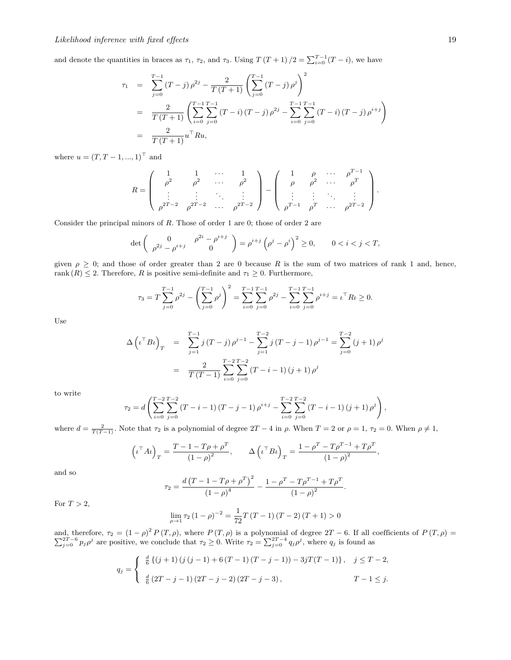and denote the quantities in braces as  $\tau_1$ ,  $\tau_2$ , and  $\tau_3$ . Using  $T(T+1)/2 = \sum_{i=0}^{T-1} (T-i)$ , we have

$$
\tau_1 = \sum_{j=0}^{T-1} (T-j) \rho^{2j} - \frac{2}{T(T+1)} \left( \sum_{j=0}^{T-1} (T-j) \rho^j \right)^2
$$
  
= 
$$
\frac{2}{T(T+1)} \left( \sum_{i=0}^{T-1} \sum_{j=0}^{T-1} (T-i) (T-j) \rho^{2j} - \sum_{i=0}^{T-1} \sum_{j=0}^{T-1} (T-i) (T-j) \rho^{i+j} \right)
$$
  
= 
$$
\frac{2}{T(T+1)} u^\top Ru,
$$

where  $u = (T, T - 1, ..., 1)^{\top}$  and

$$
R = \begin{pmatrix} 1 & 1 & \cdots & 1 \\ \rho^2 & \rho^2 & \cdots & \rho^2 \\ \vdots & \vdots & \ddots & \vdots \\ \rho^{2T-2} & \rho^{2T-2} & \cdots & \rho^{2T-2} \end{pmatrix} - \begin{pmatrix} 1 & \rho & \cdots & \rho^{T-1} \\ \rho & \rho^2 & \cdots & \rho^T \\ \vdots & \vdots & \ddots & \vdots \\ \rho^{T-1} & \rho^T & \cdots & \rho^{2T-2} \end{pmatrix}.
$$

Consider the principal minors of *R*. Those of order 1 are 0; those of order 2 are

$$
\det \begin{pmatrix} 0 & \rho^{2i} - \rho^{i+j} \\ \rho^{2j} - \rho^{i+j} & 0 \end{pmatrix} = \rho^{i+j} \left( \rho^j - \rho^i \right)^2 \ge 0, \qquad 0 < i < j < T,
$$

given  $\rho \geq 0$ ; and those of order greater than 2 are 0 because R is the sum of two matrices of rank 1 and, hence, rank  $(R) \leq 2$ . Therefore, R is positive semi-definite and  $\tau_1 \geq 0$ . Furthermore,

$$
\tau_3 = T \sum_{j=0}^{T-1} \rho^{2j} - \left(\sum_{j=0}^{T-1} \rho^j\right)^2 = \sum_{i=0}^{T-1} \sum_{j=0}^{T-1} \rho^{2j} - \sum_{i=0}^{T-1} \sum_{j=0}^{T-1} \rho^{i+j} = \iota^{\top} R \iota \ge 0.
$$

Use

$$
\Delta \left( \iota^{\top} B \iota \right)_{T} = \sum_{j=1}^{T-1} j(T-j) \rho^{j-1} - \sum_{j=1}^{T-2} j(T-j-1) \rho^{j-1} = \sum_{j=0}^{T-2} (j+1) \rho^{j}
$$

$$
= \frac{2}{T(T-1)} \sum_{i=0}^{T-2} \sum_{j=0}^{T-2} (T-i-1) (j+1) \rho^{j}
$$

to write

$$
\tau_2 = d \left( \sum_{i=0}^{T-2} \sum_{j=0}^{T-2} (T-i-1) (T-j-1) \rho^{i+j} - \sum_{i=0}^{T-2} \sum_{j=0}^{T-2} (T-i-1) (j+1) \rho^j \right),
$$

where  $d = \frac{2}{T(T-1)}$ . Note that  $\tau_2$  is a polynomial of degree  $2T - 4$  in  $\rho$ . When  $T = 2$  or  $\rho = 1$ ,  $\tau_2 = 0$ . When  $\rho \neq 1$ ,

$$
\left(\iota^{\top} A \iota\right)_{T} = \frac{T - 1 - T\rho + \rho^{T}}{\left(1 - \rho\right)^{2}}, \qquad \Delta \left(\iota^{\top} B \iota\right)_{T} = \frac{1 - \rho^{T} - T\rho^{T-1} + T\rho^{T}}{\left(1 - \rho\right)^{2}},
$$

and so

$$
\tau_2 = \frac{d (T - 1 - T\rho + \rho^T)^2}{(1 - \rho)^4} - \frac{1 - \rho^T - T\rho^{T-1} + T\rho^T}{(1 - \rho)^2}.
$$

For  $T > 2$ ,

$$
\lim_{\rho \to 1} \tau_2 (1 - \rho)^{-2} = \frac{1}{72} T (T - 1) (T - 2) (T + 1) > 0
$$

and, therefore,  $\tau_2 = (1 - \rho)^2$ and, therefore,  $\tau_2 = (1 - \rho)^2 P(T, \rho)$ , where  $P(T, \rho)$  is a polynomial of degree  $2T - 6$ . If all coefficients of  $P(T, \rho) = \sum_{j=0}^{2T-6} p_j \rho^j$  are positive, we conclude that  $\tau_2 \ge 0$ . Write  $\tau_2 = \sum_{j=0}^{2T-4} q_j \rho^j$ , wher

$$
q_{j} = \begin{cases} \frac{d}{6} \left\{ (j+1) \left( j \left( j-1 \right) + 6 \left( T-1 \right) \left( T-j-1 \right) \right) - 3jT(T-1) \right\}, & j \leq T-2, \\ \frac{d}{6} \left( 2T - j - 1 \right) \left( 2T - j - 2 \right) \left( 2T - j - 3 \right), & T-1 \leq j. \end{cases}
$$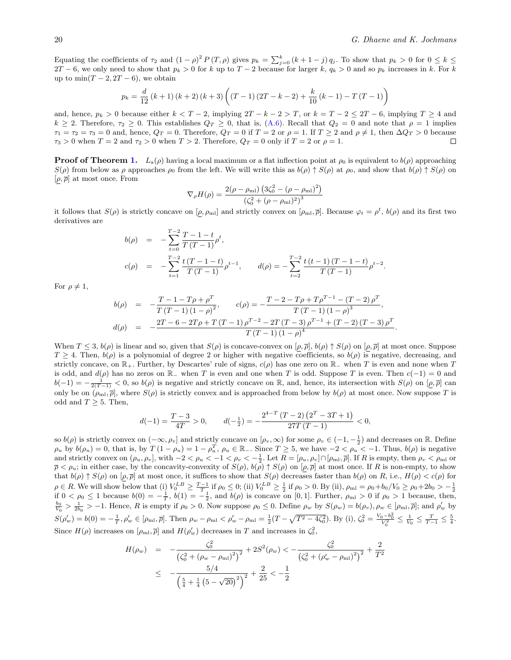Equating the coefficients of  $\tau_2$  and  $(1 - \rho)^2 P(T, \rho)$  gives  $p_k = \sum_{j=0}^k (k+1-j) q_j$ . To show that  $p_k > 0$  for  $0 \le k \le k$  $2T - 6$ , we only need to show that  $p_k > 0$  for *k* up to  $T - 2$  because for larger *k*,  $q_k > 0$  and so  $p_k$  increases in *k*. For *k* up to  $\min(T-2, 2T-6)$ , we obtain

$$
p_k = \frac{d}{12} (k+1) (k+2) (k+3) \left( (T-1) (2T-k-2) + \frac{k}{10} (k-1) - T (T-1) \right)
$$

and, hence,  $p_k > 0$  because either  $k < T - 2$ , implying  $2T - k - 2 > T$ , or  $k = T - 2 \le 2T - 6$ , implying  $T \ge 4$  and  $k \geq 2$ . Therefore,  $\tau_2 \geq 0$ . This establishes  $Q_T \geq 0$ , that is,  $(A.6)$ . Recall that  $Q_2 = 0$  and note that  $\rho = 1$  implies  $\tau_1 = \tau_2 = \tau_3 = 0$  and, hence,  $Q_T = 0$ . Therefore,  $Q_T = 0$  if  $T = 2$  or  $\rho = 1$ . If  $T \ge 2$  and  $\rho \ne 1$ , then  $\Delta Q_T > 0$  because  $\tau_2 > 0$  when  $T = 2$  and  $\tau_2 > 0$  when  $T > 2$ . Therefore,  $Q_T = 0$  only if  $T = 2$  or  $\rho =$  $\tau_3 > 0$  when  $T = 2$  and  $\tau_2 > 0$  when  $T > 2$ . Therefore,  $Q_T = 0$  only if  $T = 2$  or  $\rho = 1$ .

**Proof of Theorem [1.](#page-9-1)**  $L_a(\rho)$  having a local maximum or a flat inflection point at  $\rho_0$  is equivalent to  $b(\rho)$  approaching  $S(\rho)$  from below as  $\rho$  approaches  $\rho_0$  from the left. We will write this as  $b(\rho) \uparrow S(\rho)$  at  $\rho_0$ , and show that  $b(\rho) \uparrow S(\rho)$  on  $[\rho, \overline{\rho}]$  at most once. From

$$
\nabla_{\rho} H(\rho) = \frac{2(\rho - \rho_{\rm ml}) \left(3\zeta_0^2 - (\rho - \rho_{\rm ml})^2\right)}{\left(\zeta_0^2 + (\rho - \rho_{\rm ml})^2\right)^3}
$$

it follows that  $S(\rho)$  is strictly concave on  $[\rho, \rho_{\text{ml}}]$  and strictly convex on  $[\rho_{\text{ml}}, \overline{\rho}]$ . Because  $\varphi_t = \rho^t$ ,  $b(\rho)$  and its first two derivatives are

$$
b(\rho) = -\sum_{t=0}^{T-2} \frac{T-1-t}{T(T-1)} \rho^t,
$$
  
\n
$$
c(\rho) = -\sum_{t=1}^{T-2} \frac{t(T-1-t)}{T(T-1)} \rho^{t-1}, \qquad d(\rho) = -\sum_{t=2}^{T-2} \frac{t(t-1)(T-1-t)}{T(T-1)} \rho^{t-2}.
$$

For  $\rho \neq 1$ ,

$$
b(\rho) = -\frac{T - 1 - T\rho + \rho^T}{T (T - 1) (1 - \rho)^2}, \qquad c(\rho) = -\frac{T - 2 - T\rho + T\rho^{T - 1} - (T - 2)\rho^T}{T (T - 1) (1 - \rho)^3},
$$
  
\n
$$
d(\rho) = -\frac{2T - 6 - 2T\rho + T (T - 1)\rho^{T - 2} - 2T (T - 3)\rho^{T - 1} + (T - 2) (T - 3)\rho^T}{T (T - 1) (1 - \rho)^4}.
$$

When  $T \leq 3$ ,  $b(\rho)$  is linear and so, given that  $S(\rho)$  is concave-convex on  $[\rho, \overline{\rho}]$ ,  $b(\rho) \uparrow S(\rho)$  on  $[\rho, \overline{\rho}]$  at most once. Suppose  $T \geq 4$ . Then,  $b(\rho)$  is a polynomial of degree 2 or higher with negative coefficients, so  $b(\rho)$  is negative, decreasing, and strictly concave, on  $\mathbb{R}_+$ . Further, by Descartes' rule of signs,  $c(\rho)$  has one zero on  $\mathbb{R}_-$  when *T* is even and none when *T* is odd, and  $d(\rho)$  has no zeros on  $\mathbb{R}_-$  when *T* is even and one when *T* is odd. Suppose *T* is even. Then  $c(-1) = 0$  and  $b(-1) = -\frac{1}{2(T-1)} < 0$ , so  $b(\rho)$  is negative and strictly concave on R, and, hence, its intersection with  $S(\rho)$  on  $[\rho, \overline{\rho}]$  can only be on  $(\rho_{\rm ml}, \overline{\rho}]$ , where  $S(\rho)$  is strictly convex and is approached from below by  $b(\rho)$  at most once. Now suppose *T* is odd and  $T \geq 5$ . Then,

$$
d(-1) = \frac{T-3}{4T} > 0, \qquad d(-\frac{1}{2}) = -\frac{2^{4-T} (T-2) (2^T - 3T + 1)}{27T (T-1)} < 0,
$$

so  $b(\rho)$  is strictly convex on  $(-\infty, \rho_v]$  and strictly concave on  $[\rho_v, \infty)$  for some  $\rho_v \in (-1, -\frac{1}{2})$  and decreases on R. Define  $\rho_u$  by  $b(\rho_u) = 0$ , that is, by  $T(1 - \rho_u) = 1 - \rho_u^T$ ,  $\rho_u \in \mathbb{R}_-$ . Since  $T \ge 5$ , we have  $-2 < \rho_u < -1$ . Thus,  $b(\rho)$  is negative and strictly convex on  $(\rho_u, \rho_v]$ , with  $-2 < \rho_u < -1 < \rho_v < -\frac{1}{2}$ . Let  $R = [\rho_u, \rho_v] \cap [\rho_{m}, \overline{\rho}]$ . If R is empty, then  $\rho_v < \rho_{m}$  or  $\overline{\rho} < \rho_u$ ; in either case, by the concavity-convexity of  $S(\rho)$ ,  $b(\rho) \uparrow S(\rho)$  on  $[\rho, \overline{\rho}]$  at most once. If *R* is non-empty, to show that  $b(\rho) \uparrow S(\rho)$  on  $[\rho, \overline{\rho}]$  at most once, it suffices to show that  $S(\rho)$  decreases faster than  $b(\rho)$  on *R*, i.e.,  $H(\rho) < c(\rho)$  for  $\rho \in R$ . We will show below that (i)  $V_0^{LB} \geq \frac{T-1}{T}$  if  $\rho_0 \leq 0$ ; (ii)  $V_0^{LB} \geq \frac{1}{2}$  if  $\rho_0 > 0$ . By (ii),  $\rho_{ml} = \rho_0 + b_0/V_0 \geq \rho_0 + 2b_0 > -\frac{1}{2}$ <br>if  $0 < \rho_0 \leq 1$  because  $b(0) = -\frac{1}{T}$ ,  $b(1) = -\frac{1}{2}$ ,  $S(\rho_w') = b(0) = -\frac{1}{T}, \rho_w' \in [\rho_{m1}, \bar{\rho}]$ . Then  $\rho_w - \rho_{m1} < \rho_w' - \rho_{m1} = \frac{1}{2}(T - \sqrt{T^2 - 4\zeta_0^2})$ . By (i),  $\zeta_0^2 = \frac{V_0 - b_0^2}{V_0^2} \le \frac{1}{V_0} \le \frac{T}{T - 1} \le \frac{5}{4}$ . Since  $H(\rho)$  increases on  $[\rho_{m}, \overline{\rho}]$  and  $H(\rho'_{w})$  decreases in *T* and increases in  $\zeta_0^2$ ,

$$
H(\rho_w) = -\frac{\zeta_0^2}{(\zeta_0^2 + (\rho_w - \rho_m))^2} + 2S^2(\rho_w) < -\frac{\zeta_0^2}{(\zeta_0^2 + (\rho_w' - \rho_m))^2} + \frac{2}{T^2}
$$
  

$$
\leq -\frac{5/4}{\left(\frac{5}{4} + \frac{1}{4} \left(5 - \sqrt{20}\right)^2\right)^2} + \frac{2}{25} < -\frac{1}{2}
$$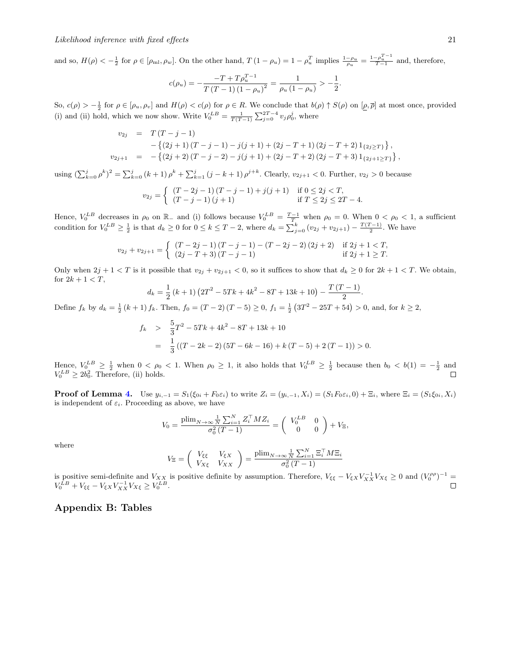and so,  $H(\rho) < -\frac{1}{2}$  for  $\rho \in [\rho_{m1}, \rho_w]$ . On the other hand,  $T(1 - \rho_u) = 1 - \rho_u^T$  implies  $\frac{1 - \rho_u}{\rho_u} = \frac{1 - \rho_u^{T-1}}{T-1}$  and, therefore,

$$
c(\rho_u) = -\frac{-T + T\rho_u^{T-1}}{T(T-1)(1-\rho_u)^2} = \frac{1}{\rho_u(1-\rho_u)} > -\frac{1}{2}.
$$

So,  $c(\rho) > -\frac{1}{2}$  for  $\rho \in [\rho_u, \rho_v]$  and  $H(\rho) < c(\rho)$  for  $\rho \in R$ . We conclude that  $b(\rho) \uparrow S(\rho)$  on  $[\rho, \overline{\rho}]$  at most once, provided (i) and (ii) hold, which we now show. Write  $V_0^{LB} = \frac{1}{T(T-1)} \sum_{j=0}^{2T-4} v_j \rho_0^j$ , where

$$
v_{2j} = T(T-j-1)
$$
  
-  $\{(2j+1)(T-j-1) - j(j+1) + (2j - T + 1)(2j - T + 2)1_{\{2j \geq T\}}\},$   

$$
v_{2j+1} = -\{(2j+2)(T-j-2) - j(j+1) + (2j - T + 2)(2j - T + 3)1_{\{2j+1 \geq T\}}\},
$$

using  $(\sum_{k=0}^{j} \rho^{k})^2 = \sum_{k=0}^{j} (k+1) \rho^{k} + \sum_{k=1}^{j} (j-k+1) \rho^{j+k}$ . Clearly,  $v_{2j+1} < 0$ . Further,  $v_{2j} > 0$  because

$$
v_{2j} = \begin{cases} (T-2j-1)(T-j-1) + j(j+1) & \text{if } 0 \le 2j < T, \\ (T-j-1)(j+1) & \text{if } T \le 2j \le 2T-4. \end{cases}
$$

Hence,  $V_0^{LB}$  decreases in  $\rho_0$  on  $\mathbb{R}_-$  and (i) follows because  $V_0^{LB} = \frac{T-1}{T}$  when  $\rho_0 = 0$ . When  $0 < \rho_0 < 1$ , a sufficient condition for  $V_0^{LB} \ge \frac{1}{2}$  is that  $d_k \ge 0$  for  $0 \le k \le T-2$ , where  $d_k = \sum_{j=0}^k (v_{2j} + v_{2j+1}) - \frac{T(T-1)}{2}$ . We have

$$
v_{2j} + v_{2j+1} = \begin{cases} (T - 2j - 1)(T - j - 1) - (T - 2j - 2)(2j + 2) & \text{if } 2j + 1 < T, \\ (2j - T + 3)(T - j - 1) & \text{if } 2j + 1 \ge T. \end{cases}
$$

Only when  $2j + 1 < T$  is it possible that  $v_{2j} + v_{2j+1} < 0$ , so it suffices to show that  $d_k \geq 0$  for  $2k + 1 < T$ . We obtain, for  $2k + 1 < T$ ,

$$
d_k = \frac{1}{2} (k+1) (2T^2 - 5Tk + 4k^2 - 8T + 13k + 10) - \frac{T (T-1)}{2}.
$$

Define  $f_k$  by  $d_k = \frac{1}{2}(k+1) f_k$ . Then,  $f_0 = (T-2)(T-5) \ge 0$ ,  $f_1 = \frac{1}{2}(3T^2 - 25T + 54) > 0$ , and, for  $k \ge 2$ ,

$$
f_k > \frac{5}{3}T^2 - 5Tk + 4k^2 - 8T + 13k + 10
$$
  
=  $\frac{1}{3}((T - 2k - 2)(5T - 6k - 16) + k(T - 5) + 2(T - 1)) > 0.$ 

Hence,  $V_0^{LB} \geq \frac{1}{2}$  when  $0 < \rho_0 < 1$ . When  $\rho_0 \geq 1$ , it also holds that  $V_0^{LB} \geq \frac{1}{2}$  because then  $b_0 < b(1) = -\frac{1}{2}$  and  $V_0^{LB} \geq 2b_0^2$ . Therefore, (ii) holds.

**Proof of Lemma [4.](#page-11-0)** Use  $y_{i,-1} = S_1(\xi_{0i} + F_0 \varepsilon_i)$  to write  $Z_i = (y_{i,-1}, X_i) = (S_1 F_0 \varepsilon_i, 0) + \Xi_i$ , where  $\Xi_i = (S_1 \xi_{0i}, X_i)$ is independent of  $\varepsilon_i$ . Proceeding as above, we have

$$
V_0 = \frac{\text{plim}_{N \to \infty} \frac{1}{N} \sum_{i=1}^{N} Z_i^{\top} M Z_i}{\sigma_0^2 (T - 1)} = \begin{pmatrix} V_0^{LB} & 0 \\ 0 & 0 \end{pmatrix} + V_{\Xi},
$$

where

$$
V_{\Xi} = \begin{pmatrix} V_{\xi\xi} & V_{\xi X} \\ V_{X\xi} & V_{XX} \end{pmatrix} = \frac{\text{plim}_{N \to \infty} \frac{1}{N} \sum_{i=1}^{N} \Xi_i^{\top} M \Xi_i}{\sigma_0^2 (T - 1)}
$$

is positive semi-definite and  $V_{XX}$  is positive definite by assumption. Therefore,  $V_{\xi\xi} - V_{\xi X} V_{XX}^{-1} V_{X\xi} \ge 0$  and  $(V_0^{\rho\rho})^{-1} =$  $V_0^{LB} + V_{\xi\xi} - V_{\xi X} V_{XX}^{-1} V_{X\xi} \geq V_0^{LB}.$ 

## Appendix B: Tables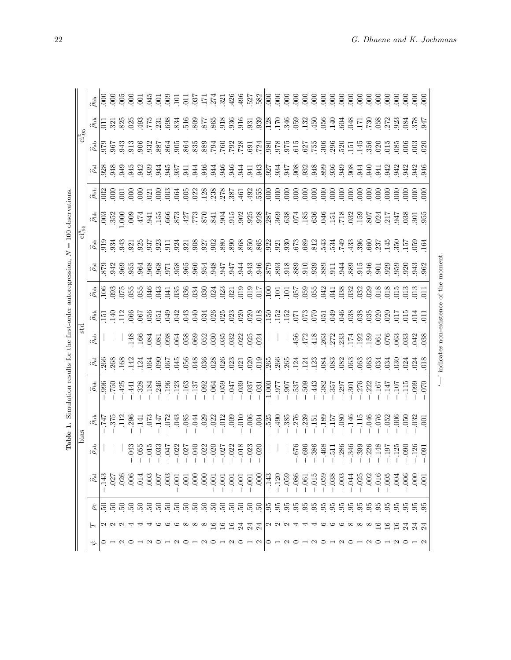| j<br>ł<br>$\frac{1}{2}$<br>i<br>I                    |
|------------------------------------------------------|
| ļ<br>j                                               |
| $\mathbf{1}$<br>i<br>i<br>)<br>ŀ                     |
| ֖֖֖֖֖֖֖֖֖֖֧ׅ֖֧֖֖֚֚֚֚֚֚֚֚֚֚֚֚֚֚֚֚֚֚֚֚֚֚֬֝֝֬<br>i<br>١ |
| $\frac{1}{2}$<br>$\frac{1}{4}$<br>Ï                  |
| .<br>.<br>.<br>Ĩ.                                    |
| $\frac{1}{2}$                                        |
| i<br>İ                                               |
| j<br>֚֘                                              |
|                                                      |
| eable <sub>+</sub> , please<br>į<br>l                |

|                                                          |                    |                                                                                                                                                                                                                                                                                                                                            |                                                                                                                                                                                                                                                                                                                                                      |      |   |                 |             |             |                |                                                                                                                                                                                                                                |                       |                  |                |                 |                 |                     |              |                                                                                                                                     |                                  |                  |      |      |      |                                                |                         |                  |      |                                  |      |      |                  |                |                                                                        |      | 600                                                                 |                                |
|----------------------------------------------------------|--------------------|--------------------------------------------------------------------------------------------------------------------------------------------------------------------------------------------------------------------------------------------------------------------------------------------------------------------------------------------|------------------------------------------------------------------------------------------------------------------------------------------------------------------------------------------------------------------------------------------------------------------------------------------------------------------------------------------------------|------|---|-----------------|-------------|-------------|----------------|--------------------------------------------------------------------------------------------------------------------------------------------------------------------------------------------------------------------------------|-----------------------|------------------|----------------|-----------------|-----------------|---------------------|--------------|-------------------------------------------------------------------------------------------------------------------------------------|----------------------------------|------------------|------|------|------|------------------------------------------------|-------------------------|------------------|------|----------------------------------|------|------|------------------|----------------|------------------------------------------------------------------------|------|---------------------------------------------------------------------|--------------------------------|
|                                                          |                    | $\frac{15}{2}$ $\frac{17}{2}$ $\frac{17}{2}$ $\frac{17}{2}$ $\frac{17}{2}$ $\frac{17}{2}$ $\frac{17}{2}$ $\frac{17}{2}$ $\frac{17}{2}$ $\frac{17}{2}$ $\frac{17}{2}$ $\frac{17}{2}$ $\frac{17}{2}$ $\frac{17}{2}$ $\frac{17}{2}$ $\frac{17}{2}$ $\frac{17}{2}$ $\frac{17}{2}$ $\frac{17}{2}$ $\frac{17}{2}$                                |                                                                                                                                                                                                                                                                                                                                                      |      |   |                 |             |             |                |                                                                                                                                                                                                                                |                       |                  |                |                 |                 |                     |              |                                                                                                                                     |                                  |                  |      |      |      |                                                |                         |                  |      |                                  |      |      |                  |                |                                                                        |      |                                                                     |                                |
|                                                          | $ci_{.95}^b$       |                                                                                                                                                                                                                                                                                                                                            |                                                                                                                                                                                                                                                                                                                                                      |      |   |                 |             |             |                |                                                                                                                                                                                                                                |                       |                  |                |                 |                 |                     |              |                                                                                                                                     |                                  |                  |      |      |      |                                                |                         |                  |      |                                  |      |      |                  |                |                                                                        |      |                                                                     |                                |
|                                                          |                    | ان المناطق المناطقة المناطقة المناطقة المناطقة المناطقة المناطقة المناطقة المناطقة المناطقة المناطقة المناطقة<br>المناطقة المناطقة المناطقة المناطقة المناطقة المناطقة المناطقة المناطقة المناطقة المناطقة المناطقة المناطقة ال                                                                                                            |                                                                                                                                                                                                                                                                                                                                                      |      |   |                 |             |             |                |                                                                                                                                                                                                                                |                       |                  |                |                 |                 |                     |              |                                                                                                                                     |                                  |                  |      |      |      |                                                |                         |                  |      |                                  |      |      |                  |                |                                                                        |      |                                                                     |                                |
|                                                          |                    | $\frac{1}{2}$                                                                                                                                                                                                                                                                                                                              |                                                                                                                                                                                                                                                                                                                                                      |      |   |                 |             |             |                |                                                                                                                                                                                                                                |                       |                  |                |                 |                 |                     |              |                                                                                                                                     |                                  |                  |      |      |      |                                                |                         |                  |      |                                  |      |      |                  |                |                                                                        |      |                                                                     |                                |
| $= 100$ observations                                     |                    | $\begin{array}{l} \frac{15}{100} \frac{100}{100} \frac{100}{100} \frac{100}{100} \frac{100}{100} \frac{100}{100} \frac{100}{100} \frac{100}{100} \frac{100}{100} \frac{100}{100} \frac{100}{100} \frac{100}{100} \frac{100}{100} \frac{100}{100} \frac{100}{100} \frac{100}{100} \frac{100}{100} \frac{100}{100} \frac{100}{100} \frac{10$ |                                                                                                                                                                                                                                                                                                                                                      |      |   |                 |             |             |                |                                                                                                                                                                                                                                |                       |                  |                |                 |                 |                     |              |                                                                                                                                     |                                  |                  |      |      |      |                                                |                         |                  |      |                                  |      |      |                  |                |                                                                        |      |                                                                     |                                |
|                                                          | $\rm{ci_{95}^{a}}$ |                                                                                                                                                                                                                                                                                                                                            |                                                                                                                                                                                                                                                                                                                                                      |      |   |                 |             |             |                |                                                                                                                                                                                                                                |                       |                  |                |                 |                 |                     |              |                                                                                                                                     |                                  |                  |      |      |      |                                                |                         |                  |      |                                  |      |      |                  |                |                                                                        |      | 164                                                                 |                                |
|                                                          |                    |                                                                                                                                                                                                                                                                                                                                            |                                                                                                                                                                                                                                                                                                                                                      |      |   |                 |             |             |                |                                                                                                                                                                                                                                |                       |                  |                |                 |                 |                     |              |                                                                                                                                     |                                  |                  |      |      |      |                                                |                         |                  |      |                                  |      |      |                  |                |                                                                        |      |                                                                     |                                |
|                                                          |                    | ای میں میں ایک میں ایک میں ایک میں ایک میں ایک میں ایک میں ایک میں ایک میں ایک میں ایک میں ایک میں ایک میں ایک<br>ایک میں ایک میں ایک میں ایک میں ایک میں ایک میں ایک میں ایک میں ایک میں ایک میں ایک میں ایک میں ایک میں ایک می                                                                                                           |                                                                                                                                                                                                                                                                                                                                                      |      |   |                 |             |             |                |                                                                                                                                                                                                                                |                       |                  |                |                 |                 |                     |              |                                                                                                                                     |                                  |                  |      |      |      |                                                |                         |                  |      |                                  |      |      |                  |                |                                                                        |      |                                                                     | momer                          |
|                                                          |                    |                                                                                                                                                                                                                                                                                                                                            |                                                                                                                                                                                                                                                                                                                                                      |      |   |                 |             |             |                |                                                                                                                                                                                                                                |                       |                  |                |                 |                 |                     |              |                                                                                                                                     |                                  |                  |      |      |      |                                                |                         |                  |      |                                  |      |      |                  |                |                                                                        |      |                                                                     |                                |
|                                                          |                    | $\frac{1}{2}$                                                                                                                                                                                                                                                                                                                              |                                                                                                                                                                                                                                                                                                                                                      |      |   |                 |             |             |                |                                                                                                                                                                                                                                |                       |                  |                |                 |                 |                     |              |                                                                                                                                     |                                  |                  |      |      |      |                                                |                         |                  |      |                                  |      |      |                  |                |                                                                        |      | $\overline{1}$                                                      |                                |
|                                                          | äε                 | $\widehat{\rho}_\mathrm{ab}$                                                                                                                                                                                                                                                                                                               |                                                                                                                                                                                                                                                                                                                                                      |      |   |                 |             |             |                |                                                                                                                                                                                                                                |                       |                  |                |                 |                 |                     |              |                                                                                                                                     |                                  |                  |      |      |      |                                                |                         |                  |      |                                  |      |      |                  |                |                                                                        |      |                                                                     |                                |
|                                                          |                    | $\bar{\beta}$                                                                                                                                                                                                                                                                                                                              |                                                                                                                                                                                                                                                                                                                                                      |      |   |                 |             |             |                |                                                                                                                                                                                                                                |                       |                  |                |                 |                 |                     |              |                                                                                                                                     |                                  |                  |      |      |      |                                                |                         |                  |      |                                  |      |      |                  |                |                                                                        |      |                                                                     | indicates non-existence of the |
| Simulation results for the first-order autoregression, N |                    | $\frac{15}{150}$                                                                                                                                                                                                                                                                                                                           |                                                                                                                                                                                                                                                                                                                                                      | .425 |   |                 |             |             |                | $-1328$ $-13446$ $-13446$ $-13446$ $-13446$ $-13446$ $-13446$ $-13446$ $-13446$ $-13446$ $-13446$ $-13446$ $-13446$ $-13446$ $-13446$ $-13446$ $-13446$ $-13446$ $-13446$ $-13446$ $-13446$ $-13446$ $-13446$ $-13446$ $-1344$ |                       |                  |                |                 |                 | $780 -$<br>$-120 -$ |              | $\begin{array}{r} 60 \text{g} - 1.000 \\ 776 \text{g} - 1.000 \\ 776 \text{g} - 1.000 \\ 180 \text{g} - 1.000 \text{g} \end{array}$ |                                  |                  |      |      |      |                                                |                         |                  |      |                                  |      |      |                  |                |                                                                        |      | $\begin{array}{rl} 020 - \\ 660 - \\ 201 - \\ 201 - \\ \end{array}$ |                                |
| Table 1.                                                 | bias               | $\widehat{\rho_{\text{h} \cdot \text{k}}}$                                                                                                                                                                                                                                                                                                 | $\frac{1}{1}$<br>$\frac{1}{1}$<br>$\frac{1}{1}$<br>$\frac{1}{2}$<br>$\frac{1}{2}$<br>$\frac{1}{1}$<br>$\frac{1}{2}$<br>$\frac{1}{1}$<br>$\frac{1}{2}$<br>$\frac{1}{1}$<br>$\frac{1}{2}$<br>$\frac{1}{1}$<br>$\frac{1}{2}$<br>$\frac{1}{2}$<br>$\frac{1}{2}$<br>$\frac{1}{2}$<br>$\frac{1}{2}$<br>$\frac{1}{2}$<br>$\frac{1}{2}$<br>$\frac{1}{2}$<br> |      |   |                 |             | .072        | .043<br>6      |                                                                                                                                                                                                                                | .044                  | $.029$<br>$.022$ |                | .012            | $000$ .         | 000                 |              | .004                                                                                                                                | .525                             |                  |      |      |      | $-490$<br>$-385$<br>$-370$<br>$-151$<br>$-189$ |                         | $-157$<br>$-731$ |      |                                  |      |      |                  |                | $-146$<br>$-115$<br>$-046$<br>$-076$<br>$-052$<br>$-0.050$<br>$-0.050$ |      | $\overline{0}$                                                      |                                |
|                                                          |                    | $\hat{\rho}_\mathrm{ab}$                                                                                                                                                                                                                                                                                                                   |                                                                                                                                                                                                                                                                                                                                                      |      | 3 |                 |             |             |                | 553325232525                                                                                                                                                                                                                   |                       |                  |                |                 |                 |                     |              |                                                                                                                                     |                                  |                  |      | 676  |      | $rac{696}{386}$                                | $468$<br>$511$<br>$286$ |                  |      | $346$<br>$399$<br>$326$<br>$148$ |      |      |                  | $197$<br>$125$ | $.090$<br>$.126$                                                       |      | $-0.91$                                                             |                                |
|                                                          |                    | $\widehat{\beta}$                                                                                                                                                                                                                                                                                                                          |                                                                                                                                                                                                                                                                                                                                                      | 026  |   | $\overline{01}$ | $rac{3}{2}$ | $\tilde{e}$ | $\overline{0}$ | $\overline{0}$                                                                                                                                                                                                                 | $\tilde{\mathrm{SO}}$ | 00               | $\overline{0}$ | $\overline{00}$ | $\overline{00}$ | .001                | $-00$        | 000                                                                                                                                 |                                  | $\frac{43}{120}$ | .059 | .086 | .061 | 015                                            | 059                     | .038             | .003 | $\overline{4}$                   | .025 | .002 | $\overline{016}$ | $\infty$       | $\overline{006}$                                                       |      |                                                                     |                                |
|                                                          |                    |                                                                                                                                                                                                                                                                                                                                            |                                                                                                                                                                                                                                                                                                                                                      |      |   |                 |             |             |                |                                                                                                                                                                                                                                |                       |                  |                |                 |                 |                     |              |                                                                                                                                     |                                  |                  |      |      |      |                                                |                         |                  |      |                                  |      |      | 55               |                | 5555                                                                   |      |                                                                     |                                |
|                                                          |                    |                                                                                                                                                                                                                                                                                                                                            |                                                                                                                                                                                                                                                                                                                                                      |      |   |                 |             |             |                |                                                                                                                                                                                                                                |                       |                  |                |                 |                 |                     | $\mathbb{Z}$ | $\mathbb{Z}$                                                                                                                        |                                  |                  |      |      |      |                                                |                         |                  |      |                                  |      |      |                  |                |                                                                        | 21 S |                                                                     |                                |
|                                                          |                    |                                                                                                                                                                                                                                                                                                                                            |                                                                                                                                                                                                                                                                                                                                                      |      |   |                 |             |             |                |                                                                                                                                                                                                                                |                       |                  |                |                 |                 |                     |              | $\begin{array}{c} \mathcal{O} & \mathcal{O} & \mathcal{O} \\ \mathcal{O} & \mathcal{O} & \mathcal{O} \end{array}$                   | $\circ$ $\overline{\phantom{0}}$ |                  |      |      |      | $\sim$ $\sim$                                  |                         |                  |      |                                  |      |      |                  |                |                                                                        |      |                                                                     |                                |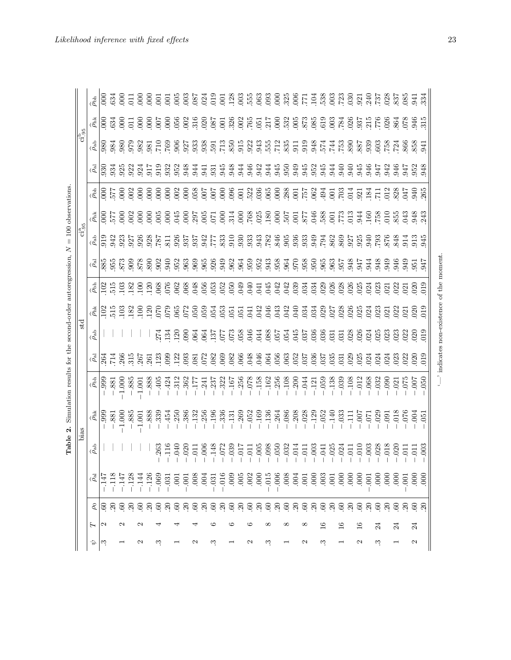| ֖֖֖֖֖֖֧ׅׅ֪ׅ֪ׅ֖֧ׅׅ֚֚֚֚֚֚֚֚֚֚֚֚֚֚֚֚֚֚֚֚֚֚֚֚֚֚֚֚֬֝֓֝֬֓֬֓֬֓֬֝֓֬֝֬֝֬֓֬֝֬<br>$\frac{1}{2}$<br>i<br>l<br>)<br>I<br>$\mathbf$<br>֧֧֧֧ׅ֚֚֚֚֚֚֚֚֚֚֚֚֚֚֚֚֚֚֚֝֝֜֡֝֜֜ |
|----------------------------------------------------------------------------------------------------------------------------------------------------------|
| I<br>l                                                                                                                                                   |
| ļ<br>j<br>l                                                                                                                                              |
| $\frac{1}{2}$<br>j<br>)<br>֖֖֖֖֖֚֚֚֚֚֚֚֚֚֬<br>ׇ֘֝<br>l<br>֕<br>í<br>i<br>$\ddot{\phantom{a}}$                                                            |
| $\mathbf{I}$<br><b>Second County</b><br>j<br>ï<br>ׇ֚֓֡<br>;<br>;<br>١<br>j                                                                               |
| j<br>֘֒                                                                                                                                                  |
| ĺ<br>$\frac{1}{2}$<br>ì<br> <br> <br>                                                                                                                    |
| ١<br>i<br>!<br>j<br>ì<br>i<br>Ï<br><b>Contract Contract</b>                                                                                              |
| $\mathbf{c}$<br>۱                                                                                                                                        |
| in and<br>$\overline{\phantom{a}}$<br>$\overline{1}$<br>I<br>I                                                                                           |

| $= 100$ observations.                                     | $ci_{.95}^b$<br>$c1\frac{a}{95}$ | $\hat{\rho}_{\rm bh}$<br>$\widehat{\rho}_{\rm hk}$<br>$\frac{1}{2}$   $\frac{1}{2}$   $\frac{1}{2}$   $\frac{1}{2}$   $\frac{1}{2}$   $\frac{1}{2}$   $\frac{1}{2}$   $\frac{1}{2}$   $\frac{1}{2}$   $\frac{1}{2}$   $\frac{1}{2}$   $\frac{1}{2}$   $\frac{1}{2}$   $\frac{1}{2}$   $\frac{1}{2}$   $\frac{1}{2}$   $\frac{1}{2}$   $\frac{1}{2}$   $\frac{1$<br>4 0 5 5 6 6 6 6 6 6 6 6 6 6 6 6 6 7 7 8 7 7 8 7 7 8 7 7 8 7 7 8 7 7 8 7 7 8 7 7 8 7 7 8 7 7 8 7 7 8 7<br>$\widehat{\rho}_{\text{h} \text{k}}$<br>$\frac{1}{2}$ $\frac{1}{2}$ $\frac{1}{2}$ |                 | $rac{63}{634}$<br>$rac{25}{200}$                                                                                                                                                                                                                                                                                                                                                                                                                                                                                                                                                | $\overline{0}0$<br>923 | $\frac{6}{9}$ | E 8 8 5 5<br>22885<br>22885<br>2285 |             |                  |                |               | 825<br>1756<br>1856<br>1856 |                                            |      |                      |         |        |         |               |      |             |         |      | 3533335                                                                                                                                                                                                                                                                                                                                           |                                      | 944    |               |                   | 33330         |        | 947          | 942     |              | 3523<br>3583                                                    | 941             | 334<br>315                |
|-----------------------------------------------------------|----------------------------------|---------------------------------------------------------------------------------------------------------------------------------------------------------------------------------------------------------------------------------------------------------------------------------------------------------------------------------------------------------------------------------------------------------------------------------------------------------------------------------------------------------------------------------------------------------------|-----------------|---------------------------------------------------------------------------------------------------------------------------------------------------------------------------------------------------------------------------------------------------------------------------------------------------------------------------------------------------------------------------------------------------------------------------------------------------------------------------------------------------------------------------------------------------------------------------------|------------------------|---------------|-------------------------------------|-------------|------------------|----------------|---------------|-----------------------------|--------------------------------------------|------|----------------------|---------|--------|---------|---------------|------|-------------|---------|------|---------------------------------------------------------------------------------------------------------------------------------------------------------------------------------------------------------------------------------------------------------------------------------------------------------------------------------------------------|--------------------------------------|--------|---------------|-------------------|---------------|--------|--------------|---------|--------------|-----------------------------------------------------------------|-----------------|---------------------------|
|                                                           |                                  | الله العام العام العام العام العام العام العام العام العام العام العام العام العام العام العام العام<br>العام العام العام العام العام العام العام العام العام العام العام العام العام العام العام العام العام العام ال                                                                                                                                                                                                                                                                                                                                        |                 | $\begin{array}{l} \begin{array}{l} \begin{array}{l} \begin{array}{l} \begin{array}{l} \begin{array}{l} \begin{array}{l} \begin{array}{l} \begin{array}{l} \end{array}\\ \begin{array}{l} \end{array}\\ \begin{array}{l} \end{array}\\ \begin{array}{l} \end{array}\\ \begin{array}{l} \end{array}\\ \begin{array}{l} \end{array}\\ \begin{array}{l} \end{array}\\ \begin{array}{l} \end{array}\\ \begin{array}{l} \end{array}\\ \begin{array}{l} \end{array}\\ \begin{array}{l} \end{array}\\ \begin{array}{l} \end{array}\\ \begin{array}{l} \end{array}\\ \begin{array}{l} \$ |                        |               |                                     |             |                  |                |               |                             |                                            |      |                      |         |        |         |               |      |             |         |      |                                                                                                                                                                                                                                                                                                                                                   |                                      |        |               |                   |               |        |              |         |              |                                                                 |                 |                           |
|                                                           | st                               | $\widehat{\rho}_{ab}$                                                                                                                                                                                                                                                                                                                                                                                                                                                                                                                                         |                 |                                                                                                                                                                                                                                                                                                                                                                                                                                                                                                                                                                                 |                        |               |                                     |             | 274              | 134            |               | $\frac{120}{090}$           | 88<br>1955<br>1955<br>1955<br>1955<br>1965 |      |                      |         |        |         |               |      |             |         |      | 5 3 4 5 5 6 6 6 6 7 8 9 6 7 8 9 6 7 8 9 6 7 8 9 6 7 8 7 8 9 6 7 8 9 7 8 7 8 7 8 7 8 7 8 7 8 7 8 7 8 9 7 8 9 7                                                                                                                                                                                                                                     |                                      |        |               |                   |               |        |              |         |              |                                                                 |                 | $_{019}$                  |
| Simulation results for the second-order autoregression, N |                                  | $\bar{\mathcal{C}}$<br>$\widehat{\rho}_{\text{bh}}$                                                                                                                                                                                                                                                                                                                                                                                                                                                                                                           | $-0.999$        | $\frac{264}{714}$<br>$-0.881$                                                                                                                                                                                                                                                                                                                                                                                                                                                                                                                                                   | $-1.000$               | $-.885$       | $-1.001$                            | $-.888$     | $-.405$          | $-.424$        | $-.312$       | $-.362$                     | $-177$                                     |      | $-0.241$<br>$-0.237$ | $-322$  | $-167$ |         |               |      |             |         |      | $\begin{array}{r} -256 \\ -158 \\ -1450 \\ -1450 \\ -1450 \\ -1450 \\ -1450 \\ -1450 \\ -1450 \\ -1450 \\ -1450 \\ -1450 \\ -1450 \\ -1450 \\ -1450 \\ -1450 \\ -1450 \\ -1450 \\ -1450 \\ -1450 \\ -1450 \\ -1450 \\ -1450 \\ -1450 \\ -1450 \\ -1450 \\ -1450 \\ -1450 \\ -1450 \\ -1450 \\ -1450 \\ -1450 \\ -1450 \\ -1450 \\ -1450 \\ -1450$ |                                      |        |               |                   |               |        |              |         |              | $-0.000$<br>$-0.01$<br>$-0.05$<br>$-0.05$<br>$-0.05$<br>$-0.05$ |                 |                           |
| N<br>Table                                                | bias                             | $\hat{\rho}_{nk}$<br>$\widehat{\rho}_\mathrm{ab}$                                                                                                                                                                                                                                                                                                                                                                                                                                                                                                             | $\overline{99}$ | .881                                                                                                                                                                                                                                                                                                                                                                                                                                                                                                                                                                            | $-1.000$               | $-.885$       | $-1.001$                            | $-.888$     | $-.339$<br>263   | $-.454$<br>116 | .250<br>040   | .386<br>020                 | $-132$<br>010<br>06<br>14<br>07<br>07      | .256 | $-.196$              | $-.336$ | $-131$ | $-.269$ | $-.052$       | .169 | .136<br>098 | $-.264$ | .086 | $-208$<br>$-028$<br>$-129$                                                                                                                                                                                                                                                                                                                        | $-.052$                              | $-140$ | $-.033$       | $-1111$<br>$-007$ |               | $-071$ | .029         | $-0.91$ | .018<br>020  | 076<br>$\overline{5}$                                           | .004            | $-0.51$<br>$\overline{0}$ |
|                                                           |                                  | $\bar{\mathcal{E}}$                                                                                                                                                                                                                                                                                                                                                                                                                                                                                                                                           | $\frac{47}{14}$ |                                                                                                                                                                                                                                                                                                                                                                                                                                                                                                                                                                                 | 747                    | 128           | 144                                 |             | $126$<br>$-0.51$ |                |               |                             |                                            |      |                      |         |        |         |               |      |             |         |      |                                                                                                                                                                                                                                                                                                                                                   |                                      |        |               |                   |               |        |              |         |              |                                                                 |                 |                           |
|                                                           |                                  | н                                                                                                                                                                                                                                                                                                                                                                                                                                                                                                                                                             | 2               | ଝାଞ କ ଞ                                                                                                                                                                                                                                                                                                                                                                                                                                                                                                                                                                         | $\mathbf{\Omega}$      | $\mathbb{S}$  | N                                   | <b>8888</b> |                  |                | $\mathcal{S}$ | <b>A</b><br>88888           |                                            |      |                      |         |        |         | <b>ERERER</b> |      |             |         |      | <u>ଞ୍ ଗ୍ ଞ୍ ଗ୍ ଞ୍ ଗ୍ ଞ୍ ଗ୍ ଞ୍ ଗ୍ ଞ୍</u><br>∞                                                                                                                                                                                                                                                                                                      | $\stackrel{\circ}{\scriptstyle \pm}$ |        | $\frac{6}{1}$ |                   | $\frac{6}{1}$ |        | $\mathbb{Z}$ |         | $\mathbb{Z}$ | នខនខន                                                           | $\overline{24}$ |                           |
|                                                           |                                  | Ŷ,                                                                                                                                                                                                                                                                                                                                                                                                                                                                                                                                                            | ್               |                                                                                                                                                                                                                                                                                                                                                                                                                                                                                                                                                                                 |                        |               | 2                                   |             | S                |                |               |                             | N                                          |      | S                    |         |        |         | 2             |      | w           |         |      | N                                                                                                                                                                                                                                                                                                                                                 | ಌ                                    |        |               |                   | Z             |        | S            |         |              |                                                                 | 2               |                           |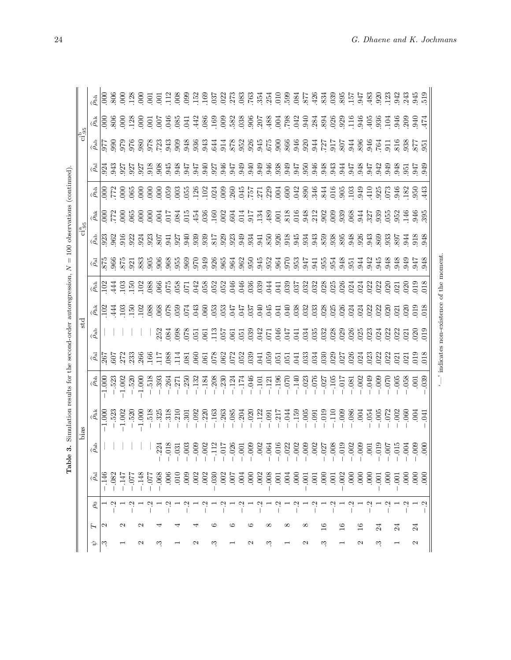| i                                                                                                                            |  |  |  |
|------------------------------------------------------------------------------------------------------------------------------|--|--|--|
| י<br>ו<br>í<br>ì<br>١<br>¢<br>֠<br>١<br>Ì<br>l                                                                               |  |  |  |
| $\overline{\mathbf{u}}$<br>$\overline{a}$<br>Ĭ                                                                               |  |  |  |
| ֖֖֖֚֚֚֚֚֚֚֚֚֚֚֡<br>١<br>í<br>)<br>ו<br>נ<br>í<br>l                                                                           |  |  |  |
| ֧֦֦֧֦֧֧֧֧֧֧֧֦֧֧֧֛֛֪֛֪֛֛֛֪֧֛֛֛֛֪֛֚֚֚֚֝֝֝֝֬֝֝֓֝֬֝֓֝֬֝֓֝֬֝֓֝֬֝֓֝֬֝֓֝֬֝֓֝֓֝֬֜֜֝֬֝֓֜<br>i<br>ı<br>۱<br>آ<br>١<br>i<br>j<br>i<br>S |  |  |  |
|                                                                                                                              |  |  |  |
| j<br>Ì                                                                                                                       |  |  |  |
|                                                                                                                              |  |  |  |
| j<br>j<br>j<br><b>PERSONAL PROPERTY</b><br>Ì                                                                                 |  |  |  |
| Ć<br>¢                                                                                                                       |  |  |  |
| )<br>1<br>$\overline{\phantom{a}}$<br>1<br>lab.<br>E                                                                         |  |  |  |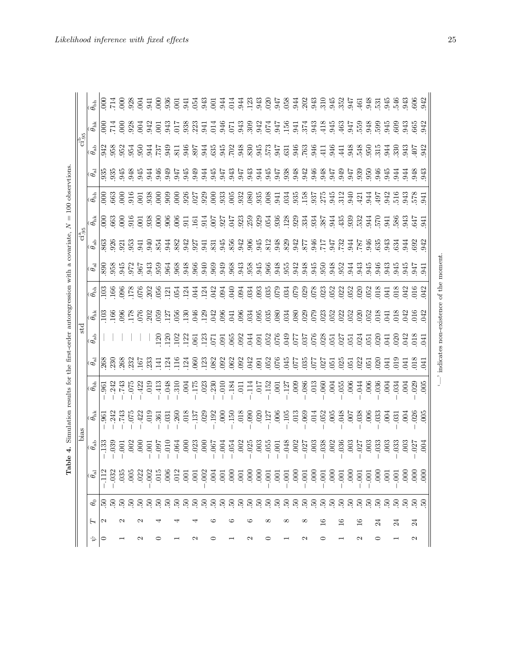|                          | $\ddot{\text{c}}_{\text{95}}^{\text{b}}$ |
|--------------------------|------------------------------------------|
| $\overline{\phantom{a}}$ | $-1.95$<br>:<br>$\ddot{\phantom{a}}$     |
| j                        | ī<br>STO                                 |
| Ì<br>í                   | Spir<br>÷                                |

|                   |                   |            |                                                                                                                                                                                                                                                                                               |                         | bias                                                                                                                                                                                                                                                                                                          |                    |                | std                            |                              |                               |                | $\operatorname{ci}_{.95}^{\rm a}$ |                              |                                  |                  | $\rm{ci_{95}^{h}}$      |                             |                                  |
|-------------------|-------------------|------------|-----------------------------------------------------------------------------------------------------------------------------------------------------------------------------------------------------------------------------------------------------------------------------------------------|-------------------------|---------------------------------------------------------------------------------------------------------------------------------------------------------------------------------------------------------------------------------------------------------------------------------------------------------------|--------------------|----------------|--------------------------------|------------------------------|-------------------------------|----------------|-----------------------------------|------------------------------|----------------------------------|------------------|-------------------------|-----------------------------|----------------------------------|
| Ş                 | Н                 | $\theta_0$ | $\widehat{\theta_{\rm al}}$                                                                                                                                                                                                                                                                   | $\widehat{\theta}_{ab}$ | $\widehat{\theta_{\rm n k}}$                                                                                                                                                                                                                                                                                  | $\widehat{\theta}$ | $\bar{\theta}$ | $\widehat{\theta}_{ab}$        | $\widehat{\theta_{\rm n k}}$ |                               | $\mathfrak{b}$ | $\widehat{\theta}_{ab}$           | $\theta_{\rm nk}$            | $\widehat{\theta}_{\mathrm{bh}}$ | $\tilde{\theta}$ | $\widehat{\theta}_{ab}$ | $\widehat{\theta_{\rm nk}}$ | $\widehat{\theta}_{\mathrm{bh}}$ |
| $\circ$           | 2                 |            |                                                                                                                                                                                                                                                                                               | 133                     | $\overline{5}$                                                                                                                                                                                                                                                                                                | $\overline{56}$    |                |                                | $\frac{103}{2}$              | $\frac{103}{166}$             |                |                                   |                              | $\overline{50}$                  |                  |                         |                             | $\frac{1}{200}$                  |
|                   |                   |            | .032                                                                                                                                                                                                                                                                                          | 039                     |                                                                                                                                                                                                                                                                                                               | 242                |                |                                | 166                          |                               |                |                                   |                              | 663                              |                  |                         |                             |                                  |
|                   | $\mathbf{\Omega}$ |            | 035                                                                                                                                                                                                                                                                                           | $\overline{5}$          | 243                                                                                                                                                                                                                                                                                                           | 743                |                |                                |                              |                               |                |                                   |                              |                                  |                  |                         |                             |                                  |
|                   |                   |            | $\overline{00}$                                                                                                                                                                                                                                                                               |                         | $-075$                                                                                                                                                                                                                                                                                                        | $-075$             |                |                                |                              |                               |                |                                   |                              |                                  |                  |                         |                             |                                  |
| 2                 | 2                 |            | 022                                                                                                                                                                                                                                                                                           | $\frac{0}{00}$          |                                                                                                                                                                                                                                                                                                               |                    |                |                                |                              | 98989819314334998999898888888 |                |                                   |                              |                                  |                  |                         |                             |                                  |
|                   |                   |            |                                                                                                                                                                                                                                                                                               |                         |                                                                                                                                                                                                                                                                                                               |                    |                |                                |                              |                               |                |                                   |                              |                                  |                  |                         |                             |                                  |
| ○                 |                   |            | $8888$<br>$0.583$<br>$0.58$                                                                                                                                                                                                                                                                   | 5555                    | $223$<br>$-35$<br>$-35$<br>$-36$<br>$-36$<br>$-36$<br>$-36$<br>$-36$<br>$-36$<br>$-36$<br>$-36$<br>$-36$<br>$-36$<br>$-36$<br>$-36$<br>$-36$<br>$-36$<br>$-36$<br>$-36$<br>$-36$<br>$-36$<br>$-36$<br>$-36$<br>$-36$<br>$-36$<br>$-36$<br>$-36$<br>$-36$<br>$-36$<br>$-36$<br>$-36$<br>$-36$<br>$-36$<br>$-3$ |                    |                |                                |                              |                               |                |                                   |                              |                                  |                  |                         |                             |                                  |
|                   |                   |            |                                                                                                                                                                                                                                                                                               |                         |                                                                                                                                                                                                                                                                                                               |                    |                |                                |                              |                               |                |                                   |                              |                                  |                  |                         |                             |                                  |
|                   |                   |            |                                                                                                                                                                                                                                                                                               |                         |                                                                                                                                                                                                                                                                                                               |                    |                |                                |                              |                               |                |                                   |                              |                                  |                  |                         |                             |                                  |
|                   |                   |            |                                                                                                                                                                                                                                                                                               | 60C                     |                                                                                                                                                                                                                                                                                                               |                    |                |                                |                              |                               |                |                                   |                              |                                  |                  |                         |                             |                                  |
| N                 |                   |            | $\overline{0}$                                                                                                                                                                                                                                                                                | 023                     | 137                                                                                                                                                                                                                                                                                                           |                    |                |                                |                              |                               |                |                                   |                              |                                  |                  |                         |                             |                                  |
|                   |                   |            |                                                                                                                                                                                                                                                                                               | 000                     | $.029$<br>$.192$                                                                                                                                                                                                                                                                                              |                    |                |                                |                              |                               |                | 941                               | 914                          |                                  |                  |                         |                             |                                  |
| ○                 |                   |            |                                                                                                                                                                                                                                                                                               | .067                    |                                                                                                                                                                                                                                                                                                               |                    |                |                                |                              |                               |                |                                   |                              |                                  |                  |                         |                             |                                  |
|                   |                   |            |                                                                                                                                                                                                                                                                                               | 60 <sup>4</sup>         | $\overline{0}0$                                                                                                                                                                                                                                                                                               |                    |                |                                |                              |                               |                |                                   |                              |                                  |                  |                         |                             |                                  |
|                   |                   |            |                                                                                                                                                                                                                                                                                               |                         | $\begin{array}{c} 150 \\ 018 \\ 090 \\ 020 \\ 127 \end{array}$                                                                                                                                                                                                                                                |                    |                |                                |                              |                               |                |                                   |                              |                                  |                  |                         |                             |                                  |
|                   |                   |            |                                                                                                                                                                                                                                                                                               | 5<br>003<br>025         |                                                                                                                                                                                                                                                                                                               |                    |                |                                |                              |                               |                |                                   |                              |                                  |                  |                         |                             |                                  |
| N                 |                   |            |                                                                                                                                                                                                                                                                                               |                         |                                                                                                                                                                                                                                                                                                               |                    |                |                                |                              |                               |                |                                   |                              |                                  |                  |                         |                             |                                  |
|                   |                   |            |                                                                                                                                                                                                                                                                                               | .003                    |                                                                                                                                                                                                                                                                                                               |                    |                |                                |                              |                               |                |                                   |                              |                                  |                  |                         |                             |                                  |
| ⊂                 | ∝                 |            |                                                                                                                                                                                                                                                                                               | .055                    |                                                                                                                                                                                                                                                                                                               |                    |                |                                |                              |                               |                |                                   |                              |                                  |                  |                         |                             |                                  |
|                   |                   |            |                                                                                                                                                                                                                                                                                               | $\overline{5}$          |                                                                                                                                                                                                                                                                                                               |                    |                |                                |                              |                               |                |                                   |                              |                                  |                  |                         |                             |                                  |
|                   | $\infty$          |            | $\ddot{S}$ , $\ddot{S}$ , $\ddot{S}$ , $\ddot{S}$ , $\ddot{S}$ , $\ddot{S}$ , $\ddot{S}$ , $\ddot{S}$ , $\ddot{S}$ , $\ddot{S}$ , $\ddot{S}$ , $\ddot{S}$ , $\ddot{S}$ , $\ddot{S}$ , $\ddot{S}$ , $\ddot{S}$ , $\ddot{S}$ , $\ddot{S}$ , $\ddot{S}$ , $\ddot{S}$ , $\ddot{S}$ , $\ddot{S}$ , | .048                    | 006<br>0060011<br>00600000                                                                                                                                                                                                                                                                                    |                    |                |                                |                              |                               |                |                                   | PRP 200946893455456354655555 |                                  |                  |                         |                             |                                  |
|                   |                   |            |                                                                                                                                                                                                                                                                                               | .002                    |                                                                                                                                                                                                                                                                                                               |                    |                |                                |                              |                               |                |                                   |                              |                                  |                  |                         |                             |                                  |
| N                 | ∞                 |            |                                                                                                                                                                                                                                                                                               |                         |                                                                                                                                                                                                                                                                                                               |                    |                |                                |                              |                               |                |                                   |                              |                                  |                  |                         |                             |                                  |
|                   |                   |            |                                                                                                                                                                                                                                                                                               | $027$<br>$003$<br>$038$ |                                                                                                                                                                                                                                                                                                               |                    |                |                                |                              |                               |                |                                   |                              |                                  |                  |                         |                             |                                  |
| ᅌ                 | $\frac{6}{1}$     |            |                                                                                                                                                                                                                                                                                               |                         |                                                                                                                                                                                                                                                                                                               |                    |                |                                |                              |                               |                |                                   |                              |                                  |                  |                         |                             |                                  |
|                   |                   |            |                                                                                                                                                                                                                                                                                               | 002                     |                                                                                                                                                                                                                                                                                                               |                    |                |                                |                              |                               |                |                                   |                              |                                  |                  |                         |                             |                                  |
|                   | $\frac{6}{1}$     |            | $\overline{0}$                                                                                                                                                                                                                                                                                | 036                     | 048                                                                                                                                                                                                                                                                                                           |                    |                |                                |                              |                               |                |                                   |                              |                                  |                  |                         |                             |                                  |
|                   |                   |            | $\overline{0}0$                                                                                                                                                                                                                                                                               | $\overline{0}3$         | $\frac{6}{100}$                                                                                                                                                                                                                                                                                               |                    |                |                                |                              | 052                           |                |                                   |                              |                                  |                  |                         |                             |                                  |
| $\mathbf{\Omega}$ | $\frac{6}{1}$     |            |                                                                                                                                                                                                                                                                                               | $02^{\circ}$            |                                                                                                                                                                                                                                                                                                               |                    |                |                                |                              |                               |                |                                   |                              |                                  |                  |                         |                             |                                  |
|                   |                   |            |                                                                                                                                                                                                                                                                                               | $\approx$               | $\frac{6}{6}$                                                                                                                                                                                                                                                                                                 |                    |                |                                |                              |                               |                |                                   |                              |                                  |                  |                         |                             |                                  |
| 0                 | $\mathbb{Z}$      |            |                                                                                                                                                                                                                                                                                               | 033                     | 3353                                                                                                                                                                                                                                                                                                          |                    |                |                                |                              | 8833333                       |                |                                   |                              |                                  | 7.88884448       |                         | 353353536                   |                                  |
|                   |                   |            |                                                                                                                                                                                                                                                                                               | $\overline{0}$          |                                                                                                                                                                                                                                                                                                               |                    |                |                                |                              |                               |                |                                   |                              |                                  |                  |                         |                             |                                  |
|                   | $\mathbb{Z}$      |            |                                                                                                                                                                                                                                                                                               | 033                     |                                                                                                                                                                                                                                                                                                               |                    |                |                                |                              |                               |                |                                   |                              |                                  |                  |                         |                             |                                  |
|                   |                   |            |                                                                                                                                                                                                                                                                                               | $\overline{0}$          |                                                                                                                                                                                                                                                                                                               |                    |                |                                |                              |                               |                |                                   |                              |                                  |                  |                         |                             |                                  |
| $\mathbf{\Omega}$ | $\overline{24}$   |            | 600                                                                                                                                                                                                                                                                                           | $\hat{\mathcal{E}}$     | 026                                                                                                                                                                                                                                                                                                           | 025                |                |                                |                              | 16                            |                |                                   |                              |                                  |                  |                         |                             | 606                              |
|                   |                   |            | $\infty$                                                                                                                                                                                                                                                                                      | $_{004}$                | 005                                                                                                                                                                                                                                                                                                           | 005                | $\Xi$          | $\frac{1}{2}$                  | 042                          | 042                           | 941            |                                   | $\overline{5}$               | $\Xi$                            | 943              | 942                     | 942                         | 942                              |
|                   |                   |            |                                                                                                                                                                                                                                                                                               |                         |                                                                                                                                                                                                                                                                                                               |                    |                | indicates non-existence of the |                              |                               | momen          |                                   |                              |                                  |                  |                         |                             |                                  |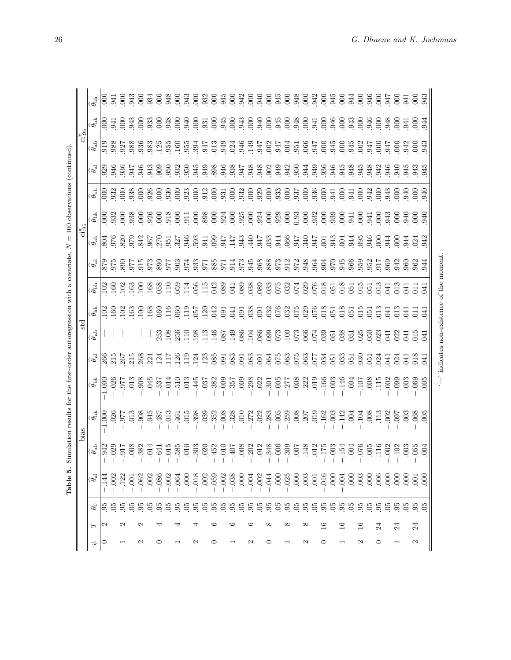| ֖֖֖֖֖ׅ֚֚֚֚֚֚֚֚֚֚֚֚֚֚֚֚֚֬֡֡֡֬֝֬֝֬֝֬֝֬֝֬֝֓֬֝֬֝֓֬֝֬֝֬֝֓֬֝֬֝֬֝֬֝֬<br>j                     |
|----------------------------------------------------------------------------------------|
| ١<br>j<br>i                                                                            |
| ł                                                                                      |
|                                                                                        |
| i<br>١                                                                                 |
|                                                                                        |
|                                                                                        |
| ֖֖֖֧ׅ֧֖֧֚֚֚֚֚֚֚֚֚֚֚֚֚֚֚֚֚֚֚֚֚֚֚֚֚֚֚֚֚֚֚֚֡֬֝֝֓֞֝֝                                       |
|                                                                                        |
| ֦                                                                                      |
|                                                                                        |
| Ì<br>j                                                                                 |
|                                                                                        |
| ¢<br>í<br>١                                                                            |
| ł                                                                                      |
| $\parallel$                                                                            |
|                                                                                        |
| l                                                                                      |
| ١                                                                                      |
|                                                                                        |
| l<br>ï<br>į                                                                            |
| $\frac{1}{2}$<br>ï                                                                     |
| i                                                                                      |
| ¢                                                                                      |
| $\mathbf{I}$<br>j                                                                      |
| ׇ֚֚֡                                                                                   |
|                                                                                        |
|                                                                                        |
| l<br>l                                                                                 |
| Ì                                                                                      |
| J<br>ׇ֦֘֡<br>֠                                                                         |
| $\overline{1}$<br>í                                                                    |
| Ï<br>١<br>ζ                                                                            |
| i                                                                                      |
| i                                                                                      |
| ;                                                                                      |
| ï                                                                                      |
| Ï                                                                                      |
| $\frac{1}{2}$<br>j                                                                     |
| ١                                                                                      |
|                                                                                        |
| i                                                                                      |
|                                                                                        |
| i<br>֧֧֧֦֧ׅ֧֧ׅ֧ׅ֧ׅ֧ׅ֧֛֧֧֛֧ׅ֧ׅ֧ׅ֧֛֛֧֛֚֚֚֚֚֚֚֚֚֚֚֚֚֚֚֚֚֚֚֚֚֚֚֚֚֚֚֚֚֚֚֚֚֝֝֓֜֝֓֜֜֓֜֜֝֓֜֜֜֝ |
| j                                                                                      |
| ï                                                                                      |
| i                                                                                      |
| ì                                                                                      |
| :<br>2<br>2<br>2                                                                       |
| I                                                                                      |
| I                                                                                      |
|                                                                                        |
| $-1.1$                                                                                 |
| i<br>2                                                                                 |
|                                                                                        |
| J<br>I<br>٢                                                                            |
| lable                                                                                  |
|                                                                                        |
| i<br>É                                                                                 |
|                                                                                        |

|               |                   |             | ທ່<br>Table                      |                                  |                                                                                      | Simulation results for the first-order autoregression with a covariate, $N = 100$ observations (continued). |                      |                         |                                |                                  |                           |                                        |                                                  |                                  |                |                                            |                              |                                  |
|---------------|-------------------|-------------|----------------------------------|----------------------------------|--------------------------------------------------------------------------------------|-------------------------------------------------------------------------------------------------------------|----------------------|-------------------------|--------------------------------|----------------------------------|---------------------------|----------------------------------------|--------------------------------------------------|----------------------------------|----------------|--------------------------------------------|------------------------------|----------------------------------|
|               |                   |             |                                  |                                  | bias                                                                                 |                                                                                                             |                      | std                     |                                |                                  |                           | $\overline{\text{ci}^{\text{a}}_{95}}$ |                                                  |                                  |                | $\overline{\mathrm{ci}^{\mathrm{b}}_{95}}$ |                              |                                  |
| Þ             | H                 | L           | $\widehat{\theta_{\rm al}}$      | $\widehat{\theta_{\mathtt{ab}}}$ | $\widehat{\theta_{\rm nk}}$                                                          | $\widehat{\theta}_{\mathrm{ph}}$                                                                            | $\bar{\mathfrak{G}}$ | $\widehat{\theta}_{ab}$ | $\tilde{\theta_{\rm int}}$     | $\widehat{\theta}$               | $\tilde{\theta_{\rm al}}$ | $\widehat{\theta}_\mathtt{ab}$         |                                                  | $\widehat{\theta}_{\mathrm{ph}}$ | $\bar{\theta}$ |                                            | $\widehat{\theta_{\rm n k}}$ | $\widehat{\theta}_{\mathrm{bh}}$ |
| $\circ$       | $\mathbf{\Omega}$ |             |                                  |                                  | 1.000                                                                                | 1.000                                                                                                       |                      |                         | 102                            |                                  |                           |                                        |                                                  |                                  |                |                                            |                              |                                  |
|               |                   | 5, 5, 5,    | .002                             | 342<br>029<br>017                |                                                                                      | $.926$<br>$0.977$                                                                                           | 266<br>215<br>267    |                         | 160                            | $\frac{102}{160}$                |                           |                                        | 838                                              |                                  |                |                                            | 1 E<br>000                   | EE 000                           |
|               | N                 |             | .122                             |                                  |                                                                                      |                                                                                                             |                      |                         | 102                            | 102                              |                           |                                        |                                                  |                                  |                |                                            | $\overline{5}$               | $\overline{6}$                   |
|               |                   | $\tilde{e}$ | $00$ .                           | $\frac{8}{2}$                    |                                                                                      | $\overline{013}$                                                                                            | 215                  |                         | 163                            |                                  |                           |                                        | 938                                              |                                  |                |                                            | 943                          | 943                              |
| $\mathcal{C}$ | $\mathbf{\Omega}$ | 92          | .062<br>$\overline{\phantom{a}}$ | 382                              | 86<br>65<br>65<br>68                                                                 | 908                                                                                                         | 268                  |                         | 100                            | $\frac{163}{100}$                |                           |                                        | $\overline{0}$                                   |                                  |                |                                            | $\overline{0}$               | $\overline{0}$                   |
|               |                   | $\tilde{e}$ | .002                             | 014                              | .045                                                                                 | .045                                                                                                        |                      |                         |                                |                                  |                           |                                        |                                                  |                                  |                |                                            | 933                          |                                  |
| ○             | ₹                 | 56          | .086                             | 641                              |                                                                                      | 537                                                                                                         |                      |                         | $\frac{68}{100}$               | 168<br>058<br>110                |                           |                                        | $\frac{88}{300}$                                 |                                  |                |                                            | 648                          |                                  |
|               |                   |             | .002                             | $\overline{015}$                 | $510 -$<br>784.-                                                                     | .014                                                                                                        |                      | $\frac{253}{108}$       |                                |                                  |                           |                                        |                                                  |                                  |                |                                            |                              |                                  |
|               |                   | 95          | .064                             | 585                              | .461                                                                                 | <b>0TG</b> .                                                                                                | $234$ $156$          | 256                     | 060                            | 059                              |                           |                                        | $\overline{0}0$                                  |                                  |                |                                            | $\overline{0}0$              |                                  |
|               |                   | 05          | $\overline{000}$                 | 010                              |                                                                                      | .013                                                                                                        | 119                  |                         |                                | 114                              |                           |                                        |                                                  |                                  |                |                                            | 940                          |                                  |
| N             |                   |             | .018<br>$\mathbf{I}$             | 303                              |                                                                                      | .445                                                                                                        |                      |                         |                                |                                  |                           |                                        |                                                  |                                  |                |                                            |                              |                                  |
|               |                   |             | .002                             | 020                              |                                                                                      | .037                                                                                                        |                      |                         |                                |                                  |                           |                                        |                                                  |                                  |                |                                            |                              |                                  |
| ○             | ల                 | se se       | 059                              | .452                             | $\frac{15}{3}$ $\frac{8}{3}$ $\frac{8}{3}$ $\frac{8}{3}$ $\frac{8}{3}$ $\frac{8}{3}$ | .382                                                                                                        |                      |                         | 15235<br>15235                 | 056<br>115<br>042                |                           | 9859874<br>985887                      | 508883                                           |                                  |                |                                            | 0.588                        |                                  |
|               |                   |             | .002                             | 010                              |                                                                                      | $-0.009$                                                                                                    |                      |                         |                                | 089                              |                           |                                        |                                                  |                                  |                |                                            |                              |                                  |
|               | ల                 | 95          | .038                             | 407                              |                                                                                      | .357                                                                                                        | $\frac{388}{2888}$   |                         | $\Xi$                          | 041                              |                           |                                        |                                                  |                                  |                |                                            | $\overline{000}$             |                                  |
|               |                   | 65          | 000                              | .008                             |                                                                                      | $000$ .                                                                                                     |                      |                         | $\overline{0}0$                |                                  |                           | 943                                    |                                                  |                                  |                |                                            | 943                          |                                  |
| 2             | అ                 | 5959        | $-.004$                          | 202                              | 3283                                                                                 | .298                                                                                                        | 58555<br>58555       |                         |                                | 88<br>88<br>88<br>88<br>88<br>88 |                           | 44234<br>4534                          |                                                  |                                  |                |                                            |                              |                                  |
|               |                   |             | .002                             | .012                             |                                                                                      | .022                                                                                                        |                      |                         |                                |                                  |                           |                                        |                                                  |                                  |                |                                            |                              |                                  |
| ○             | $\infty$          |             | .044                             | 348                              |                                                                                      | $-301$                                                                                                      |                      |                         |                                |                                  |                           |                                        |                                                  |                                  |                |                                            |                              |                                  |
|               |                   |             | 000                              | .006                             |                                                                                      | $-.005$                                                                                                     |                      |                         |                                |                                  |                           |                                        |                                                  |                                  |                |                                            | 945                          |                                  |
|               | ${}^{\circ}$      | 95          | .025                             | $\overline{.}309$                |                                                                                      | 277                                                                                                         |                      |                         |                                |                                  |                           |                                        |                                                  |                                  |                |                                            |                              |                                  |
|               |                   | 65          | 000                              | 500                              |                                                                                      |                                                                                                             |                      |                         |                                |                                  |                           |                                        |                                                  |                                  |                |                                            |                              |                                  |
| $\mathcal{C}$ | $\infty$          |             | $\overline{0}03$                 | <b>148</b>                       |                                                                                      |                                                                                                             |                      |                         |                                |                                  |                           |                                        |                                                  |                                  |                |                                            |                              |                                  |
|               |                   | 5. 5. 5.    | 001                              | $\frac{012}{175}$                | $-0.05$<br>$-259$<br>$-3008$<br>$-307$<br>$-162$                                     | $008$<br>$0.22$<br>$0.166$                                                                                  | <b>888588888</b>     |                         | 3253535                        | 032<br>074<br>096<br>056<br>051  |                           | <b>1252500</b><br>155560               | $6.88$ $6.88$ $6.88$ $6.88$ $6.88$ $6.88$ $6.88$ |                                  |                | <b>SESZSZSZSZS</b><br>SESZSZSZSZS          | <b>S#S#8</b>                 |                                  |
| ○             | $\frac{6}{1}$     |             | 016                              |                                  |                                                                                      |                                                                                                             |                      |                         |                                |                                  |                           |                                        |                                                  |                                  |                |                                            |                              |                                  |
|               |                   | 65          | 000                              | $003$<br>$154$                   | .003                                                                                 | $-.003$                                                                                                     |                      |                         |                                |                                  |                           | 3333880                                |                                                  | 941                              |                |                                            | 946                          |                                  |
|               | $\overline{16}$   | 95          | 004                              |                                  | .142                                                                                 | .146                                                                                                        |                      |                         | $\overline{018}$               | 018                              |                           |                                        | 600                                              | $\overline{0}0$                  |                |                                            | $\overline{0}0$              |                                  |
|               |                   | S.          | 000                              | 004                              |                                                                                      |                                                                                                             |                      |                         |                                |                                  |                           |                                        |                                                  |                                  |                |                                            |                              |                                  |
| 2             | $\frac{6}{2}$     | 55          | 003                              | 076                              | $108$<br>$-108$<br>$-13$                                                             | 115<br>107<br>115<br>115                                                                                    |                      |                         | 5553                           |                                  |                           |                                        |                                                  | <u> 약음</u><br>객들 양               |                |                                            | 3000                         |                                  |
|               |                   |             | $\overline{000}$                 | 605                              |                                                                                      |                                                                                                             |                      |                         |                                |                                  |                           |                                        |                                                  |                                  |                |                                            |                              |                                  |
| 0             | 24                | 95          | 006                              | 116                              |                                                                                      |                                                                                                             | 024                  |                         |                                |                                  |                           |                                        |                                                  |                                  |                |                                            | $\overline{0}0$              |                                  |
|               |                   | 95          | 000                              | .002                             |                                                                                      | .002                                                                                                        | 641                  | 641                     |                                | $\overline{5}$                   |                           |                                        |                                                  |                                  | 946            |                                            | 948                          |                                  |
|               | $\overline{24}$   | 95          | 000                              | 102                              |                                                                                      | 0.09                                                                                                        | $^{024}$             | $\frac{22}{350}$        |                                | $\frac{3}{2}$                    |                           |                                        |                                                  |                                  |                |                                            | $\overline{0}0$              |                                  |
|               |                   | S.          | 000                              | $\overline{0}3$                  |                                                                                      | $\overline{0}03$                                                                                            | 041<br>018           |                         |                                |                                  |                           |                                        |                                                  |                                  |                |                                            |                              | 941                              |
| 2             | $\overline{24}$   | 55 S        | $\overline{0}$                   | 0.05                             | $\frac{25}{25}$ $\frac{25}{25}$ $\frac{25}{25}$ $\frac{25}{25}$                      | $-0.05$                                                                                                     |                      |                         | 융용용용                           |                                  |                           | <u> A S A A A</u>                      | 388888                                           |                                  | 33335          | <u>င်း ခွဲမှာ ခွဲမှာ</u>                   | 384                          | $\infty$                         |
|               |                   |             | $\infty$                         |                                  |                                                                                      |                                                                                                             | $\overline{E}$       | $\overline{5}$          |                                | $\overline{5}$                   | 944                       |                                        |                                                  | 940                              |                |                                            |                              | 943                              |
|               |                   |             |                                  |                                  |                                                                                      |                                                                                                             |                      |                         | indicates non-existence of the |                                  | moment                    |                                        |                                                  |                                  |                |                                            |                              |                                  |